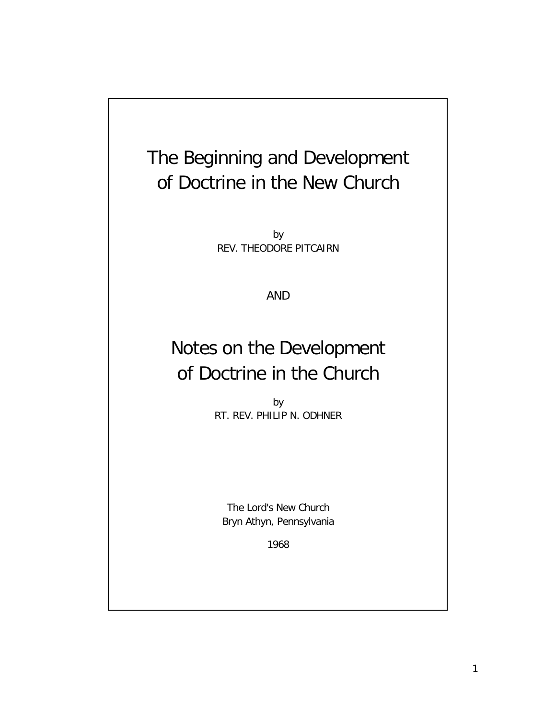# The Beginning and Development of Doctrine in the New Church

by REV. THEODORE PITCAIRN

AND

## Notes on the Development of Doctrine in the Church

by RT. REV. PHILIP N. ODHNER

The Lord's New Church Bryn Athyn, Pennsylvania

1968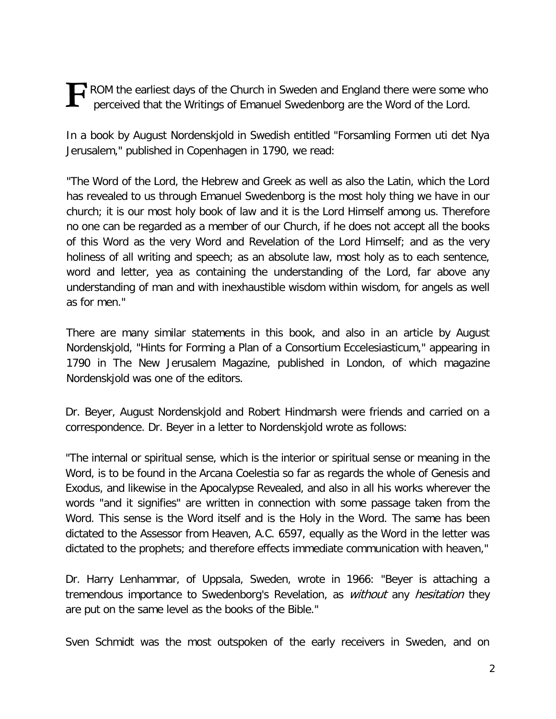**F** ROM the earliest days of the Church in Sweden and England there were some who perceived that the Writings of Emanuel Swedenborg are the Word of the Lord. perceived that the Writings of Emanuel Swedenborg are the Word of the Lord.

In a book by August Nordenskjold in Swedish entitled "Forsamling Formen uti det Nya Jerusalem," published in Copenhagen in 1790, we read:

"The Word of the Lord, the Hebrew and Greek as well as also the Latin, which the Lord has revealed to us through Emanuel Swedenborg is the most holy thing we have in our church; it is our most holy book of law and it is the Lord Himself among us. Therefore no one can be regarded as a member of our Church, if he does not accept all the books of this Word as the very Word and Revelation of the Lord Himself; and as the very holiness of all writing and speech; as an absolute law, most holy as to each sentence, word and letter, yea as containing the understanding of the Lord, far above any understanding of man and with inexhaustible wisdom within wisdom, for angels as well as for men."

There are many similar statements in this book, and also in an article by August Nordenskjold, "Hints for Forming a Plan of a Consortium Eccelesiasticum," appearing in 1790 in The New Jerusalem Magazine, published in London, of which magazine Nordenskjold was one of the editors.

Dr. Beyer, August Nordenskjold and Robert Hindmarsh were friends and carried on a correspondence. Dr. Beyer in a letter to Nordenskjold wrote as follows:

"The internal or spiritual sense, which is the interior or spiritual sense or meaning in the Word, is to be found in the Arcana Coelestia so far as regards the whole of Genesis and Exodus, and likewise in the Apocalypse Revealed, and also in all his works wherever the words "and it signifies" are written in connection with some passage taken from the Word. This sense is the Word itself and is the Holy in the Word. The same has been dictated to the Assessor from Heaven, A.C. 6597, equally as the Word in the letter was dictated to the prophets; and therefore effects immediate communication with heaven,"

Dr. Harry Lenhammar, of Uppsala, Sweden, wrote in 1966: "Beyer is attaching a tremendous importance to Swedenborg's Revelation, as *without* any *hesitation* they are put on the same level as the books of the Bible."

Sven Schmidt was the most outspoken of the early receivers in Sweden, and on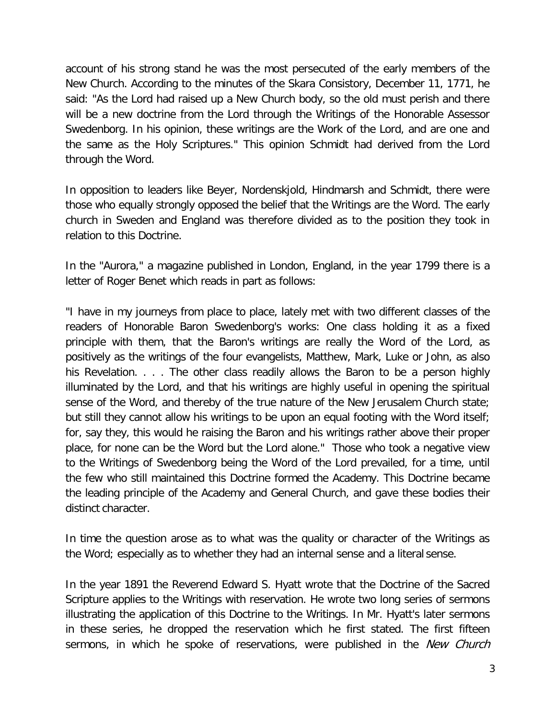account of his strong stand he was the most persecuted of the early members of the New Church. According to the minutes of the Skara Consistory, December 11, 1771, he said: "As the Lord had raised up a New Church body, so the old must perish and there will be a new doctrine from the Lord through the Writings of the Honorable Assessor Swedenborg. In his opinion, these writings are the Work of the Lord, and are one and the same as the Holy Scriptures." This opinion Schmidt had derived from the Lord through the Word.

In opposition to leaders like Beyer, Nordenskjold, Hindmarsh and Schmidt, there were those who equally strongly opposed the belief that the Writings are the Word. The early church in Sweden and England was therefore divided as to the position they took in relation to this Doctrine.

In the "Aurora," a magazine published in London, England, in the year 1799 there is a letter of Roger Benet which reads in part as follows:

"I have in my journeys from place to place, lately met with two different classes of the readers of Honorable Baron Swedenborg's works: One class holding it as a fixed principle with them, that the Baron's writings are really the Word of the Lord, as positively as the writings of the four evangelists, Matthew, Mark, Luke or John, as also his Revelation. . . . The other class readily allows the Baron to be a person highly illuminated by the Lord, and that his writings are highly useful in opening the spiritual sense of the Word, and thereby of the true nature of the New Jerusalem Church state; but still they cannot allow his writings to be upon an equal footing with the Word itself; for, say they, this would he raising the Baron and his writings rather above their proper place, for none can be the Word but the Lord alone." Those who took a negative view to the Writings of Swedenborg being the Word of the Lord prevailed, for a time, until the few who still maintained this Doctrine formed the Academy. This Doctrine became the leading principle of the Academy and General Church, and gave these bodies their distinct character.

In time the question arose as to what was the quality or character of the Writings as the Word; especially as to whether they had an internal sense and a literal sense.

In the year 1891 the Reverend Edward S. Hyatt wrote that the Doctrine of the Sacred Scripture applies to the Writings with reservation. He wrote two long series of sermons illustrating the application of this Doctrine to the Writings. In Mr. Hyatt's later sermons in these series, he dropped the reservation which he first stated. The first fifteen sermons, in which he spoke of reservations, were published in the *New Church*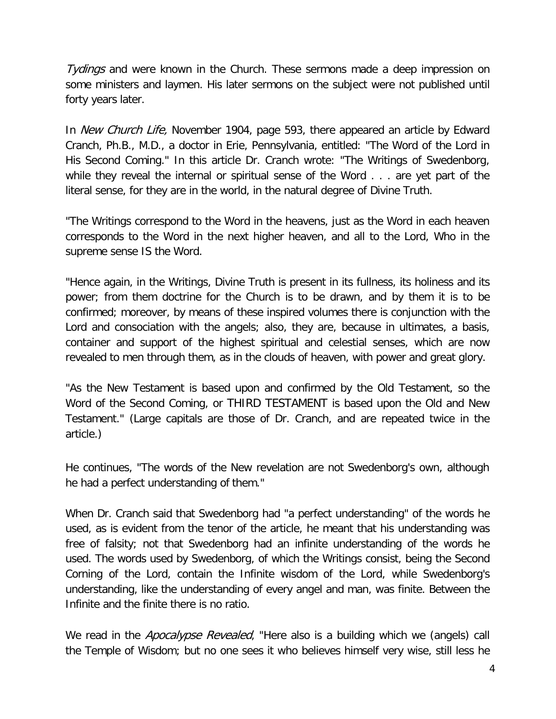Tydings and were known in the Church. These sermons made a deep impression on some ministers and laymen. His later sermons on the subject were not published until forty years later.

In *New Church Life*, November 1904, page 593, there appeared an article by Edward Cranch, Ph.B., M.D., a doctor in Erie, Pennsylvania, entitled: "The Word of the Lord in His Second Coming." In this article Dr. Cranch wrote: "The Writings of Swedenborg, while they reveal the internal or spiritual sense of the Word . . . are yet part of the literal sense, for they are in the world, in the natural degree of Divine Truth.

"The Writings correspond to the Word in the heavens, just as the Word in each heaven corresponds to the Word in the next higher heaven, and all to the Lord, Who in the supreme sense IS the Word.

"Hence again, in the Writings, Divine Truth is present in its fullness, its holiness and its power; from them doctrine for the Church is to be drawn, and by them it is to be confirmed; moreover, by means of these inspired volumes there is conjunction with the Lord and consociation with the angels; also, they are, because in ultimates, a basis, container and support of the highest spiritual and celestial senses, which are now revealed to men through them, as in the clouds of heaven, with power and great glory.

"As the New Testament is based upon and confirmed by the Old Testament, so the Word of the Second Coming, or THIRD TESTAMENT is based upon the Old and New Testament." (Large capitals are those of Dr. Cranch, and are repeated twice in the article.)

He continues, "The words of the New revelation are not Swedenborg's own, although he had a perfect understanding of them."

When Dr. Cranch said that Swedenborg had "a perfect understanding" of the words he used, as is evident from the tenor of the article, he meant that his understanding was free of falsity; not that Swedenborg had an infinite understanding of the words he used. The words used by Swedenborg, of which the Writings consist, being the Second Corning of the Lord, contain the Infinite wisdom of the Lord, while Swedenborg's understanding, like the understanding of every angel and man, was finite. Between the Infinite and the finite there is no ratio.

We read in the *Apocalypse Revealed*, "Here also is a building which we (angels) call the Temple of Wisdom; but no one sees it who believes himself very wise, still less he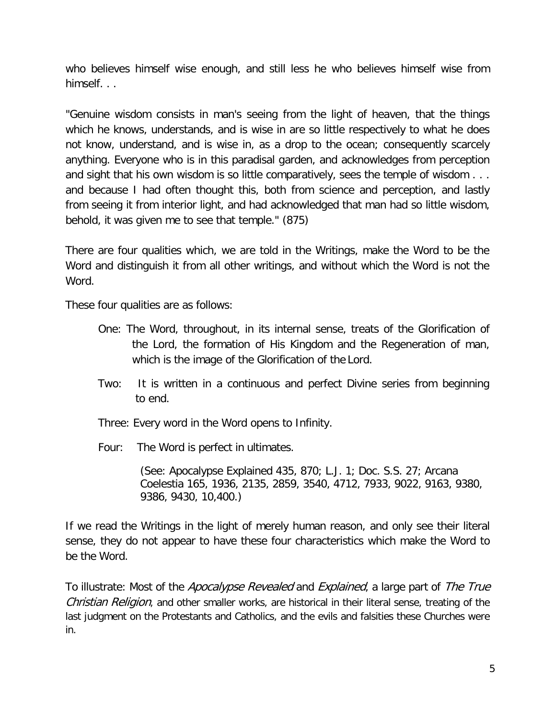who believes himself wise enough, and still less he who believes himself wise from himself. . .

"Genuine wisdom consists in man's seeing from the light of heaven, that the things which he knows, understands, and is wise in are so little respectively to what he does not know, understand, and is wise in, as a drop to the ocean; consequently scarcely anything. Everyone who is in this paradisal garden, and acknowledges from perception and sight that his own wisdom is so little comparatively, sees the temple of wisdom . . . and because I had often thought this, both from science and perception, and lastly from seeing it from interior light, and had acknowledged that man had so little wisdom, behold, it was given me to see that temple." (875)

There are four qualities which, we are told in the Writings, make the Word to be the Word and distinguish it from all other writings, and without which the Word is not the Word.

These four qualities are as follows:

- One: The Word, throughout, in its internal sense, treats of the Glorification of the Lord, the formation of His Kingdom and the Regeneration of man, which is the image of the Glorification of the Lord.
- Two: It is written in a continuous and perfect Divine series from beginning to end.
- Three: Every word in the Word opens to Infinity.
- Four: The Word is perfect in ultimates.

(See: Apocalypse Explained 435, 870; L.J. 1; Doc. S.S. 27; Arcana Coelestia 165, 1936, 2135, 2859, 3540, 4712, 7933, 9022, 9163, 9380, 9386, 9430, 10,400.)

If we read the Writings in the light of merely human reason, and only see their literal sense, they do not appear to have these four characteristics which make the Word to be the Word.

To illustrate: Most of the *Apocalypse Revealed* and *Explained*, a large part of The True Christian Religion, and other smaller works, are historical in their literal sense, treating of the last judgment on the Protestants and Catholics, and the evils and falsities these Churches were in.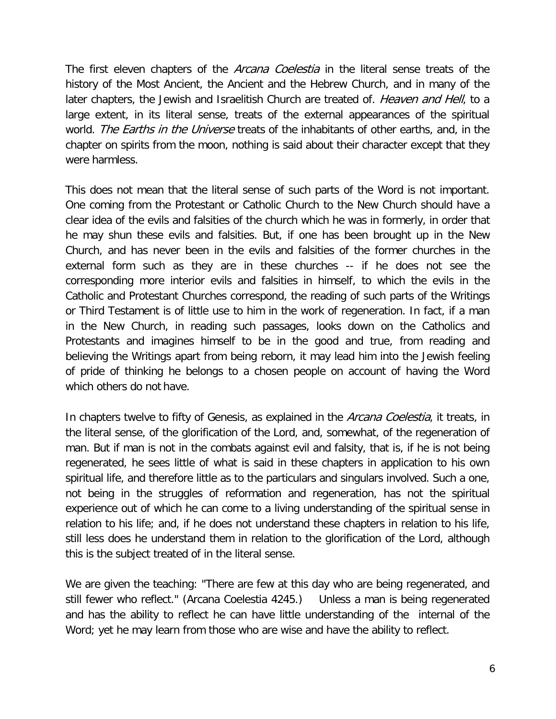The first eleven chapters of the *Arcana Coelestia* in the literal sense treats of the history of the Most Ancient, the Ancient and the Hebrew Church, and in many of the later chapters, the Jewish and Israelitish Church are treated of. Heaven and Hell, to a large extent, in its literal sense, treats of the external appearances of the spiritual world. The Earths in the Universe treats of the inhabitants of other earths, and, in the chapter on spirits from the moon, nothing is said about their character except that they were harmless.

This does not mean that the literal sense of such parts of the Word is not important. One coming from the Protestant or Catholic Church to the New Church should have a clear idea of the evils and falsities of the church which he was in formerly, in order that he may shun these evils and falsities. But, if one has been brought up in the New Church, and has never been in the evils and falsities of the former churches in the external form such as they are in these churches -- if he does not see the corresponding more interior evils and falsities in himself, to which the evils in the Catholic and Protestant Churches correspond, the reading of such parts of the Writings or Third Testament is of little use to him in the work of regeneration. In fact, if a man in the New Church, in reading such passages, looks down on the Catholics and Protestants and imagines himself to be in the good and true, from reading and believing the Writings apart from being reborn, it may lead him into the Jewish feeling of pride of thinking he belongs to a chosen people on account of having the Word which others do not have.

In chapters twelve to fifty of Genesis, as explained in the *Arcana Coelestia*, it treats, in the literal sense, of the glorification of the Lord, and, somewhat, of the regeneration of man. But if man is not in the combats against evil and falsity, that is, if he is not being regenerated, he sees little of what is said in these chapters in application to his own spiritual life, and therefore little as to the particulars and singulars involved. Such a one, not being in the struggles of reformation and regeneration, has not the spiritual experience out of which he can come to a living understanding of the spiritual sense in relation to his life; and, if he does not understand these chapters in relation to his life, still less does he understand them in relation to the glorification of the Lord, although this is the subject treated of in the literal sense.

We are given the teaching: "There are few at this day who are being regenerated, and still fewer who reflect." (Arcana Coelestia 4245.) Unless a man is being regenerated and has the ability to reflect he can have little understanding of the internal of the Word; yet he may learn from those who are wise and have the ability to reflect.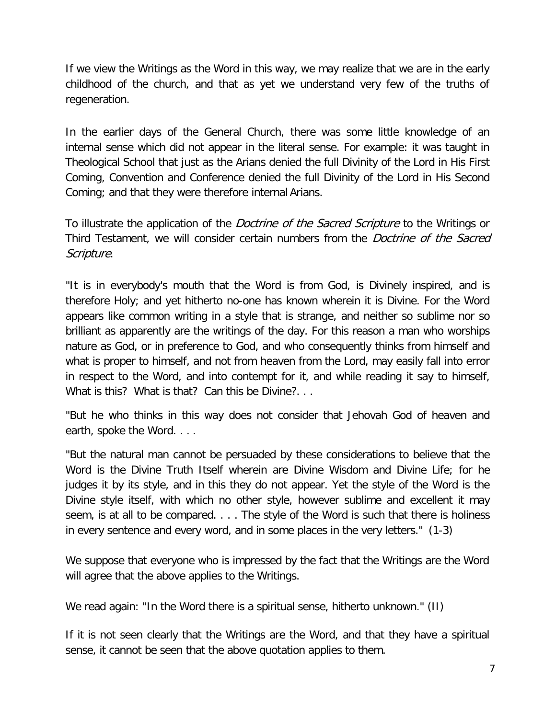If we view the Writings as the Word in this way, we may realize that we are in the early childhood of the church, and that as yet we understand very few of the truths of regeneration.

In the earlier days of the General Church, there was some little knowledge of an internal sense which did not appear in the literal sense. For example: it was taught in Theological School that just as the Arians denied the full Divinity of the Lord in His First Coming, Convention and Conference denied the full Divinity of the Lord in His Second Coming; and that they were therefore internal Arians.

To illustrate the application of the *Doctrine of the Sacred Scripture* to the Writings or Third Testament, we will consider certain numbers from the *Doctrine of the Sacred* Scripture.

"It is in everybody's mouth that the Word is from God, is Divinely inspired, and is therefore Holy; and yet hitherto no-one has known wherein it is Divine. For the Word appears like common writing in a style that is strange, and neither so sublime nor so brilliant as apparently are the writings of the day. For this reason a man who worships nature as God, or in preference to God, and who consequently thinks from himself and what is proper to himself, and not from heaven from the Lord, may easily fall into error in respect to the Word, and into contempt for it, and while reading it say to himself, What is this? What is that? Can this be Divine?...

"But he who thinks in this way does not consider that Jehovah God of heaven and earth, spoke the Word. . . .

"But the natural man cannot be persuaded by these considerations to believe that the Word is the Divine Truth Itself wherein are Divine Wisdom and Divine Life; for he judges it by its style, and in this they do not appear. Yet the style of the Word is the Divine style itself, with which no other style, however sublime and excellent it may seem, is at all to be compared. . . . The style of the Word is such that there is holiness in every sentence and every word, and in some places in the very letters." (1-3)

We suppose that everyone who is impressed by the fact that the Writings are the Word will agree that the above applies to the Writings.

We read again: "In the Word there is a spiritual sense, hitherto unknown." (II)

If it is not seen clearly that the Writings are the Word, and that they have a spiritual sense, it cannot be seen that the above quotation applies to them.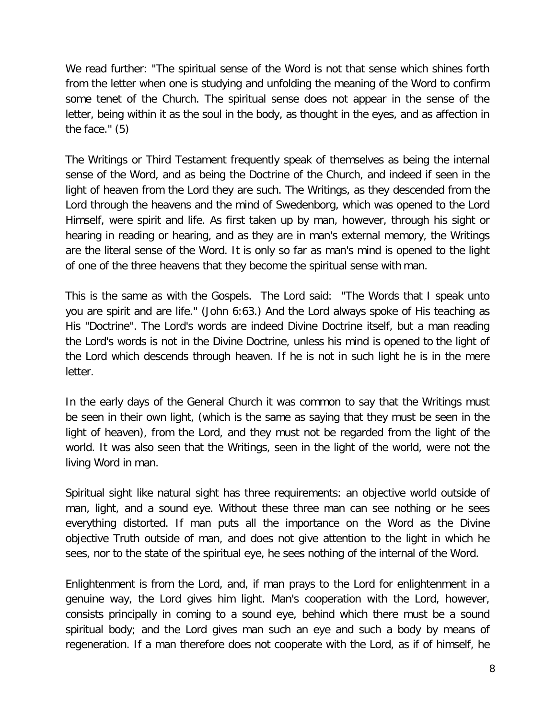We read further: "The spiritual sense of the Word is not that sense which shines forth from the letter when one is studying and unfolding the meaning of the Word to confirm some tenet of the Church. The spiritual sense does not appear in the sense of the letter, being within it as the soul in the body, as thought in the eyes, and as affection in the face." (5)

The Writings or Third Testament frequently speak of themselves as being the internal sense of the Word, and as being the Doctrine of the Church, and indeed if seen in the light of heaven from the Lord they are such. The Writings, as they descended from the Lord through the heavens and the mind of Swedenborg, which was opened to the Lord Himself, were spirit and life. As first taken up by man, however, through his sight or hearing in reading or hearing, and as they are in man's external memory, the Writings are the literal sense of the Word. It is only so far as man's mind is opened to the light of one of the three heavens that they become the spiritual sense with man.

This is the same as with the Gospels. The Lord said: "The Words that I speak unto you are spirit and are life." (John 6:63.) And the Lord always spoke of His teaching as His "Doctrine". The Lord's words are indeed Divine Doctrine itself, but a man reading the Lord's words is not in the Divine Doctrine, unless his mind is opened to the light of the Lord which descends through heaven. If he is not in such light he is in the mere letter.

In the early days of the General Church it was common to say that the Writings must be seen in their own light, (which is the same as saying that they must be seen in the light of heaven), from the Lord, and they must not be regarded from the light of the world. It was also seen that the Writings, seen in the light of the world, were not the living Word in man.

Spiritual sight like natural sight has three requirements: an objective world outside of man, light, and a sound eye. Without these three man can see nothing or he sees everything distorted. If man puts all the importance on the Word as the Divine objective Truth outside of man, and does not give attention to the light in which he sees, nor to the state of the spiritual eye, he sees nothing of the internal of the Word.

Enlightenment is from the Lord, and, if man prays to the Lord for enlightenment in a genuine way, the Lord gives him light. Man's cooperation with the Lord, however, consists principally in coming to a sound eye, behind which there must be a sound spiritual body; and the Lord gives man such an eye and such a body by means of regeneration. If a man therefore does not cooperate with the Lord, as if of himself, he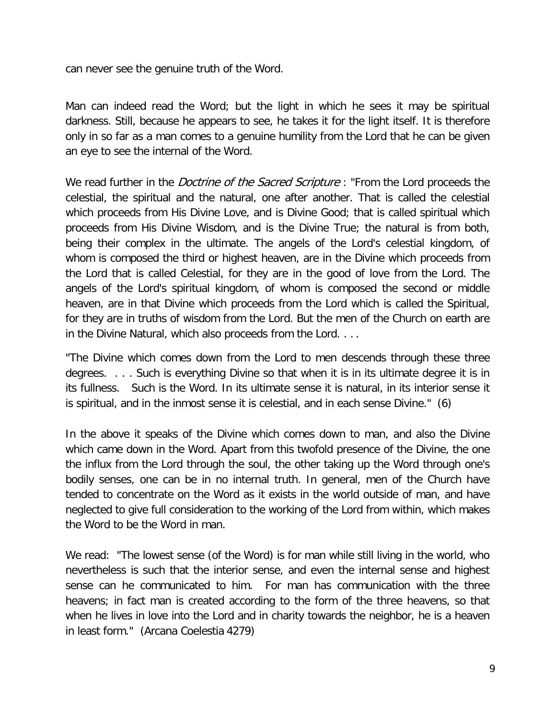can never see the genuine truth of the Word.

Man can indeed read the Word; but the light in which he sees it may be spiritual darkness. Still, because he appears to see, he takes it for the light itself. It is therefore only in so far as a man comes to a genuine humility from the Lord that he can be given an eye to see the internal of the Word.

We read further in the *Doctrine of the Sacred Scripture* : "From the Lord proceeds the celestial, the spiritual and the natural, one after another. That is called the celestial which proceeds from His Divine Love, and is Divine Good; that is called spiritual which proceeds from His Divine Wisdom, and is the Divine True; the natural is from both, being their complex in the ultimate. The angels of the Lord's celestial kingdom, of whom is composed the third or highest heaven, are in the Divine which proceeds from the Lord that is called Celestial, for they are in the good of love from the Lord. The angels of the Lord's spiritual kingdom, of whom is composed the second or middle heaven, are in that Divine which proceeds from the Lord which is called the Spiritual, for they are in truths of wisdom from the Lord. But the men of the Church on earth are in the Divine Natural, which also proceeds from the Lord. . . .

"The Divine which comes down from the Lord to men descends through these three degrees. . . . Such is everything Divine so that when it is in its ultimate degree it is in its fullness. Such is the Word. In its ultimate sense it is natural, in its interior sense it is spiritual, and in the inmost sense it is celestial, and in each sense Divine." (6)

In the above it speaks of the Divine which comes down to man, and also the Divine which came down in the Word. Apart from this twofold presence of the Divine, the one the influx from the Lord through the soul, the other taking up the Word through one's bodily senses, one can be in no internal truth. In general, men of the Church have tended to concentrate on the Word as it exists in the world outside of man, and have neglected to give full consideration to the working of the Lord from within, which makes the Word to be the Word in man.

We read: "The lowest sense (of the Word) is for man while still living in the world, who nevertheless is such that the interior sense, and even the internal sense and highest sense can he communicated to him. For man has communication with the three heavens; in fact man is created according to the form of the three heavens, so that when he lives in love into the Lord and in charity towards the neighbor, he is a heaven in least form." (Arcana Coelestia 4279)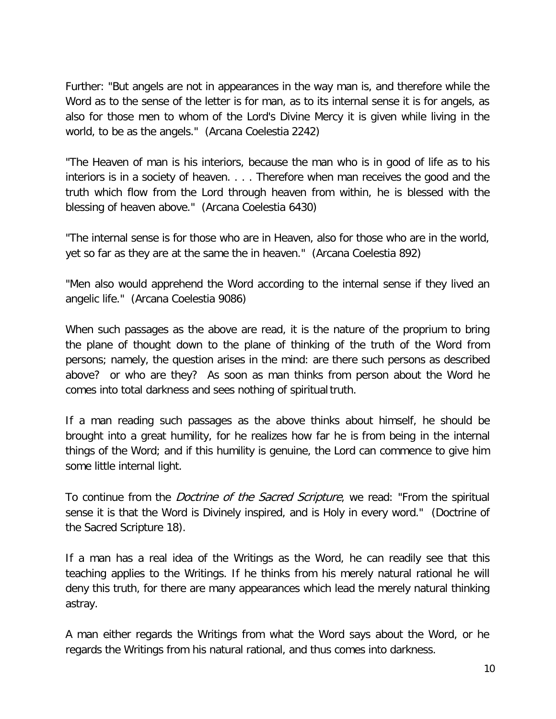Further: "But angels are not in appearances in the way man is, and therefore while the Word as to the sense of the letter is for man, as to its internal sense it is for angels, as also for those men to whom of the Lord's Divine Mercy it is given while living in the world, to be as the angels." (Arcana Coelestia 2242)

"The Heaven of man is his interiors, because the man who is in good of life as to his interiors is in a society of heaven. . . . Therefore when man receives the good and the truth which flow from the Lord through heaven from within, he is blessed with the blessing of heaven above." (Arcana Coelestia 6430)

"The internal sense is for those who are in Heaven, also for those who are in the world, yet so far as they are at the same the in heaven." (Arcana Coelestia 892)

"Men also would apprehend the Word according to the internal sense if they lived an angelic life." (Arcana Coelestia 9086)

When such passages as the above are read, it is the nature of the proprium to bring the plane of thought down to the plane of thinking of the truth of the Word from persons; namely, the question arises in the mind: are there such persons as described above? or who are they? As soon as man thinks from person about the Word he comes into total darkness and sees nothing of spiritual truth.

If a man reading such passages as the above thinks about himself, he should be brought into a great humility, for he realizes how far he is from being in the internal things of the Word; and if this humility is genuine, the Lord can commence to give him some little internal light.

To continue from the *Doctrine of the Sacred Scripture*, we read: "From the spiritual sense it is that the Word is Divinely inspired, and is Holy in every word." (Doctrine of the Sacred Scripture 18).

If a man has a real idea of the Writings as the Word, he can readily see that this teaching applies to the Writings. If he thinks from his merely natural rational he will deny this truth, for there are many appearances which lead the merely natural thinking astray.

A man either regards the Writings from what the Word says about the Word, or he regards the Writings from his natural rational, and thus comes into darkness.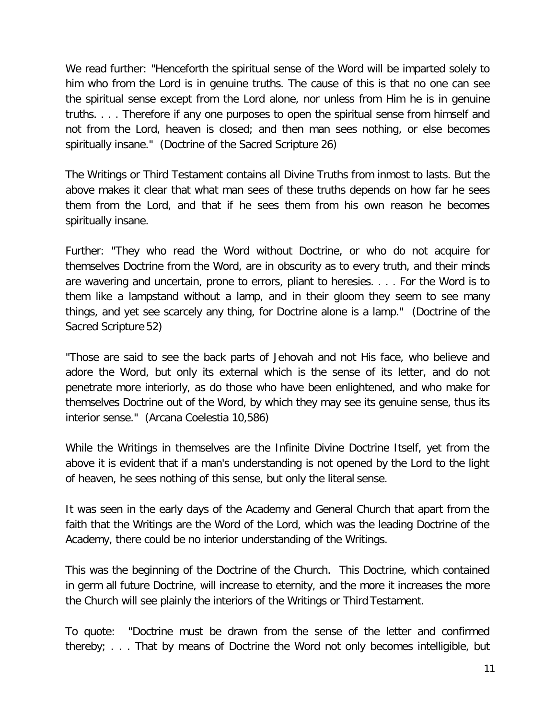We read further: "Henceforth the spiritual sense of the Word will be imparted solely to him who from the Lord is in genuine truths. The cause of this is that no one can see the spiritual sense except from the Lord alone, nor unless from Him he is in genuine truths. . . . Therefore if any one purposes to open the spiritual sense from himself and not from the Lord, heaven is closed; and then man sees nothing, or else becomes spiritually insane." (Doctrine of the Sacred Scripture 26)

The Writings or Third Testament contains all Divine Truths from inmost to lasts. But the above makes it clear that what man sees of these truths depends on how far he sees them from the Lord, and that if he sees them from his own reason he becomes spiritually insane.

Further: "They who read the Word without Doctrine, or who do not acquire for themselves Doctrine from the Word, are in obscurity as to every truth, and their minds are wavering and uncertain, prone to errors, pliant to heresies. . . . For the Word is to them like a lampstand without a lamp, and in their gloom they seem to see many things, and yet see scarcely any thing, for Doctrine alone is a lamp." (Doctrine of the Sacred Scripture 52)

"Those are said to see the back parts of Jehovah and not His face, who believe and adore the Word, but only its external which is the sense of its letter, and do not penetrate more interiorly, as do those who have been enlightened, and who make for themselves Doctrine out of the Word, by which they may see its genuine sense, thus its interior sense." (Arcana Coelestia 10,586)

While the Writings in themselves are the Infinite Divine Doctrine Itself, yet from the above it is evident that if a man's understanding is not opened by the Lord to the light of heaven, he sees nothing of this sense, but only the literal sense.

It was seen in the early days of the Academy and General Church that apart from the faith that the Writings are the Word of the Lord, which was the leading Doctrine of the Academy, there could be no interior understanding of the Writings.

This was the beginning of the Doctrine of the Church. This Doctrine, which contained in germ all future Doctrine, will increase to eternity, and the more it increases the more the Church will see plainly the interiors of the Writings or Third Testament.

To quote: "Doctrine must be drawn from the sense of the letter and confirmed thereby; . . . That by means of Doctrine the Word not only becomes intelligible, but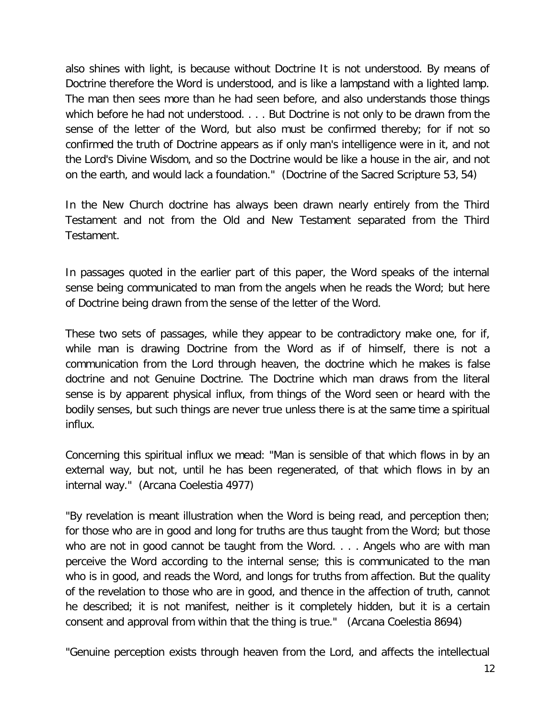also shines with light, is because without Doctrine It is not understood. By means of Doctrine therefore the Word is understood, and is like a lampstand with a lighted lamp. The man then sees more than he had seen before, and also understands those things which before he had not understood. . . . But Doctrine is not only to be drawn from the sense of the letter of the Word, but also must be confirmed thereby; for if not so confirmed the truth of Doctrine appears as if only man's intelligence were in it, and not the Lord's Divine Wisdom, and so the Doctrine would be like a house in the air, and not on the earth, and would lack a foundation." (Doctrine of the Sacred Scripture 53, 54)

In the New Church doctrine has always been drawn nearly entirely from the Third Testament and not from the Old and New Testament separated from the Third Testament.

In passages quoted in the earlier part of this paper, the Word speaks of the internal sense being communicated to man from the angels when he reads the Word; but here of Doctrine being drawn from the sense of the letter of the Word.

These two sets of passages, while they appear to be contradictory make one, for if, while man is drawing Doctrine from the Word as if of himself, there is not a communication from the Lord through heaven, the doctrine which he makes is false doctrine and not Genuine Doctrine. The Doctrine which man draws from the literal sense is by apparent physical influx, from things of the Word seen or heard with the bodily senses, but such things are never true unless there is at the same time a spiritual influx.

Concerning this spiritual influx we mead: "Man is sensible of that which flows in by an external way, but not, until he has been regenerated, of that which flows in by an internal way." (Arcana Coelestia 4977)

"By revelation is meant illustration when the Word is being read, and perception then; for those who are in good and long for truths are thus taught from the Word; but those who are not in good cannot be taught from the Word. . . . Angels who are with man perceive the Word according to the internal sense; this is communicated to the man who is in good, and reads the Word, and longs for truths from affection. But the quality of the revelation to those who are in good, and thence in the affection of truth, cannot he described; it is not manifest, neither is it completely hidden, but it is a certain consent and approval from within that the thing is true." (Arcana Coelestia 8694)

"Genuine perception exists through heaven from the Lord, and affects the intellectual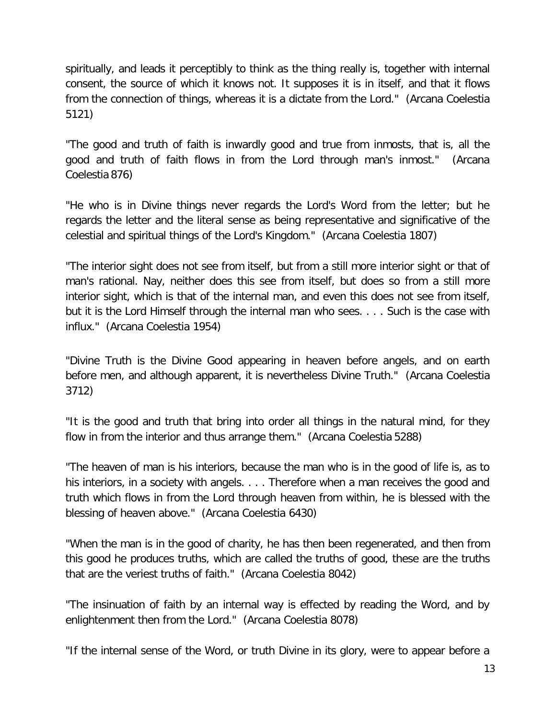spiritually, and leads it perceptibly to think as the thing really is, together with internal consent, the source of which it knows not. It supposes it is in itself, and that it flows from the connection of things, whereas it is a dictate from the Lord." (Arcana Coelestia 5121)

"The good and truth of faith is inwardly good and true from inmosts, that is, all the good and truth of faith flows in from the Lord through man's inmost." (Arcana Coelestia 876)

"He who is in Divine things never regards the Lord's Word from the letter; but he regards the letter and the literal sense as being representative and significative of the celestial and spiritual things of the Lord's Kingdom." (Arcana Coelestia 1807)

"The interior sight does not see from itself, but from a still more interior sight or that of man's rational. Nay, neither does this see from itself, but does so from a still more interior sight, which is that of the internal man, and even this does not see from itself, but it is the Lord Himself through the internal man who sees. . . . Such is the case with influx." (Arcana Coelestia 1954)

"Divine Truth is the Divine Good appearing in heaven before angels, and on earth before men, and although apparent, it is nevertheless Divine Truth." (Arcana Coelestia 3712)

"It is the good and truth that bring into order all things in the natural mind, for they flow in from the interior and thus arrange them." (Arcana Coelestia 5288)

"The heaven of man is his interiors, because the man who is in the good of life is, as to his interiors, in a society with angels. . . . Therefore when a man receives the good and truth which flows in from the Lord through heaven from within, he is blessed with the blessing of heaven above." (Arcana Coelestia 6430)

"When the man is in the good of charity, he has then been regenerated, and then from this good he produces truths, which are called the truths of good, these are the truths that are the veriest truths of faith." (Arcana Coelestia 8042)

"The insinuation of faith by an internal way is effected by reading the Word, and by enlightenment then from the Lord." (Arcana Coelestia 8078)

"If the internal sense of the Word, or truth Divine in its glory, were to appear before a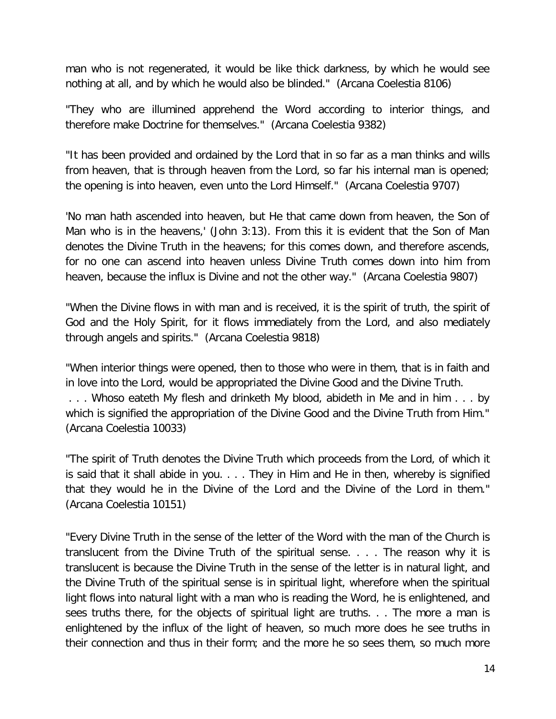man who is not regenerated, it would be like thick darkness, by which he would see nothing at all, and by which he would also be blinded." (Arcana Coelestia 8106)

"They who are illumined apprehend the Word according to interior things, and therefore make Doctrine for themselves." (Arcana Coelestia 9382)

"It has been provided and ordained by the Lord that in so far as a man thinks and wills from heaven, that is through heaven from the Lord, so far his internal man is opened; the opening is into heaven, even unto the Lord Himself." (Arcana Coelestia 9707)

'No man hath ascended into heaven, but He that came down from heaven, the Son of Man who is in the heavens,' (John 3:13). From this it is evident that the Son of Man denotes the Divine Truth in the heavens; for this comes down, and therefore ascends, for no one can ascend into heaven unless Divine Truth comes down into him from heaven, because the influx is Divine and not the other way." (Arcana Coelestia 9807)

"When the Divine flows in with man and is received, it is the spirit of truth, the spirit of God and the Holy Spirit, for it flows immediately from the Lord, and also mediately through angels and spirits." (Arcana Coelestia 9818)

"When interior things were opened, then to those who were in them, that is in faith and in love into the Lord, would be appropriated the Divine Good and the Divine Truth.

. . . Whoso eateth My flesh and drinketh My blood, abideth in Me and in him . . . by which is signified the appropriation of the Divine Good and the Divine Truth from Him." (Arcana Coelestia 10033)

"The spirit of Truth denotes the Divine Truth which proceeds from the Lord, of which it is said that it shall abide in you. . . . They in Him and He in then, whereby is signified that they would he in the Divine of the Lord and the Divine of the Lord in them." (Arcana Coelestia 10151)

"Every Divine Truth in the sense of the letter of the Word with the man of the Church is translucent from the Divine Truth of the spiritual sense. . . . The reason why it is translucent is because the Divine Truth in the sense of the letter is in natural light, and the Divine Truth of the spiritual sense is in spiritual light, wherefore when the spiritual light flows into natural light with a man who is reading the Word, he is enlightened, and sees truths there, for the objects of spiritual light are truths. . . The more a man is enlightened by the influx of the light of heaven, so much more does he see truths in their connection and thus in their form; and the more he so sees them, so much more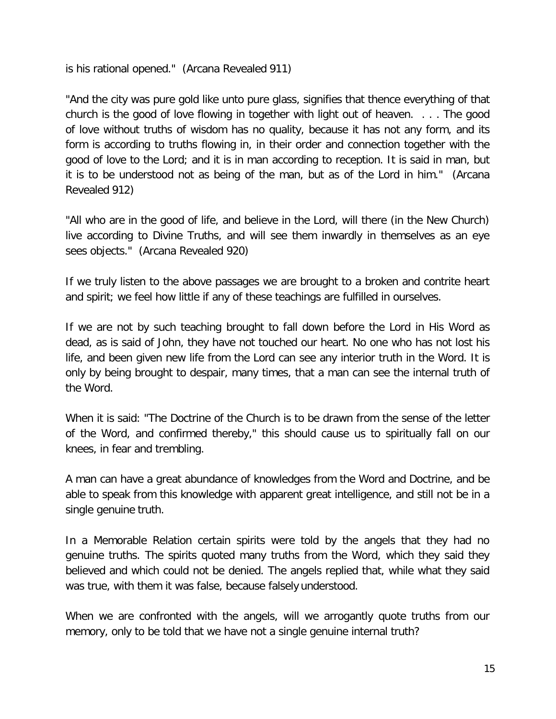is his rational opened." (Arcana Revealed 911)

"And the city was pure gold like unto pure glass, signifies that thence everything of that church is the good of love flowing in together with light out of heaven. . . . The good of love without truths of wisdom has no quality, because it has not any form, and its form is according to truths flowing in, in their order and connection together with the good of love to the Lord; and it is in man according to reception. It is said in man, but it is to be understood not as being of the man, but as of the Lord in him." (Arcana Revealed 912)

"All who are in the good of life, and believe in the Lord, will there (in the New Church) live according to Divine Truths, and will see them inwardly in themselves as an eye sees objects." (Arcana Revealed 920)

If we truly listen to the above passages we are brought to a broken and contrite heart and spirit; we feel how little if any of these teachings are fulfilled in ourselves.

If we are not by such teaching brought to fall down before the Lord in His Word as dead, as is said of John, they have not touched our heart. No one who has not lost his life, and been given new life from the Lord can see any interior truth in the Word. It is only by being brought to despair, many times, that a man can see the internal truth of the Word.

When it is said: "The Doctrine of the Church is to be drawn from the sense of the letter of the Word, and confirmed thereby," this should cause us to spiritually fall on our knees, in fear and trembling.

A man can have a great abundance of knowledges from the Word and Doctrine, and be able to speak from this knowledge with apparent great intelligence, and still not be in a single genuine truth.

In a Memorable Relation certain spirits were told by the angels that they had no genuine truths. The spirits quoted many truths from the Word, which they said they believed and which could not be denied. The angels replied that, while what they said was true, with them it was false, because falsely understood.

When we are confronted with the angels, will we arrogantly quote truths from our memory, only to be told that we have not a single genuine internal truth?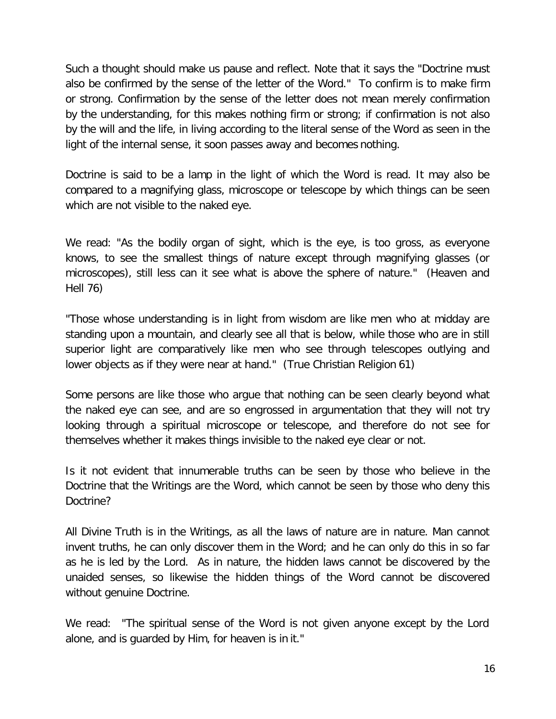Such a thought should make us pause and reflect. Note that it says the "Doctrine must also be confirmed by the sense of the letter of the Word." To confirm is to make firm or strong. Confirmation by the sense of the letter does not mean merely confirmation by the understanding, for this makes nothing firm or strong; if confirmation is not also by the will and the life, in living according to the literal sense of the Word as seen in the light of the internal sense, it soon passes away and becomes nothing.

Doctrine is said to be a lamp in the light of which the Word is read. It may also be compared to a magnifying glass, microscope or telescope by which things can be seen which are not visible to the naked eye.

We read: "As the bodily organ of sight, which is the eye, is too gross, as everyone knows, to see the smallest things of nature except through magnifying glasses (or microscopes), still less can it see what is above the sphere of nature." (Heaven and Hell 76)

"Those whose understanding is in light from wisdom are like men who at midday are standing upon a mountain, and clearly see all that is below, while those who are in still superior light are comparatively like men who see through telescopes outlying and lower objects as if they were near at hand." (True Christian Religion 61)

Some persons are like those who argue that nothing can be seen clearly beyond what the naked eye can see, and are so engrossed in argumentation that they will not try looking through a spiritual microscope or telescope, and therefore do not see for themselves whether it makes things invisible to the naked eye clear or not.

Is it not evident that innumerable truths can be seen by those who believe in the Doctrine that the Writings are the Word, which cannot be seen by those who deny this Doctrine?

All Divine Truth is in the Writings, as all the laws of nature are in nature. Man cannot invent truths, he can only discover them in the Word; and he can only do this in so far as he is led by the Lord. As in nature, the hidden laws cannot be discovered by the unaided senses, so likewise the hidden things of the Word cannot be discovered without genuine Doctrine.

We read: "The spiritual sense of the Word is not given anyone except by the Lord alone, and is guarded by Him, for heaven is in it."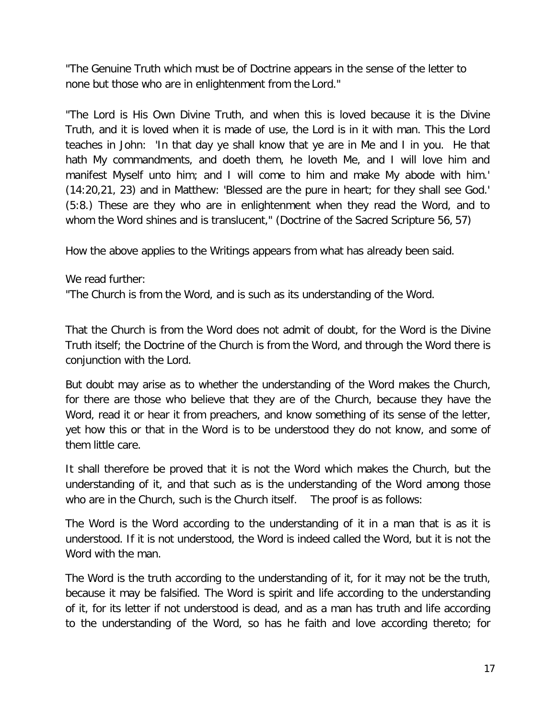"The Genuine Truth which must be of Doctrine appears in the sense of the letter to none but those who are in enlightenment from the Lord."

"The Lord is His Own Divine Truth, and when this is loved because it is the Divine Truth, and it is loved when it is made of use, the Lord is in it with man. This the Lord teaches in John: 'In that day ye shall know that ye are in Me and I in you. He that hath My commandments, and doeth them, he loveth Me, and I will love him and manifest Myself unto him; and I will come to him and make My abode with him.' (14:20,21, 23) and in Matthew: 'Blessed are the pure in heart; for they shall see God.' (5:8.) These are they who are in enlightenment when they read the Word, and to whom the Word shines and is translucent," (Doctrine of the Sacred Scripture 56, 57)

How the above applies to the Writings appears from what has already been said.

We read further:

"The Church is from the Word, and is such as its understanding of the Word.

That the Church is from the Word does not admit of doubt, for the Word is the Divine Truth itself; the Doctrine of the Church is from the Word, and through the Word there is conjunction with the Lord.

But doubt may arise as to whether the understanding of the Word makes the Church, for there are those who believe that they are of the Church, because they have the Word, read it or hear it from preachers, and know something of its sense of the letter, yet how this or that in the Word is to be understood they do not know, and some of them little care.

It shall therefore be proved that it is not the Word which makes the Church, but the understanding of it, and that such as is the understanding of the Word among those who are in the Church, such is the Church itself. The proof is as follows:

The Word is the Word according to the understanding of it in a man that is as it is understood. If it is not understood, the Word is indeed called the Word, but it is not the Word with the man.

The Word is the truth according to the understanding of it, for it may not be the truth, because it may be falsified. The Word is spirit and life according to the understanding of it, for its letter if not understood is dead, and as a man has truth and life according to the understanding of the Word, so has he faith and love according thereto; for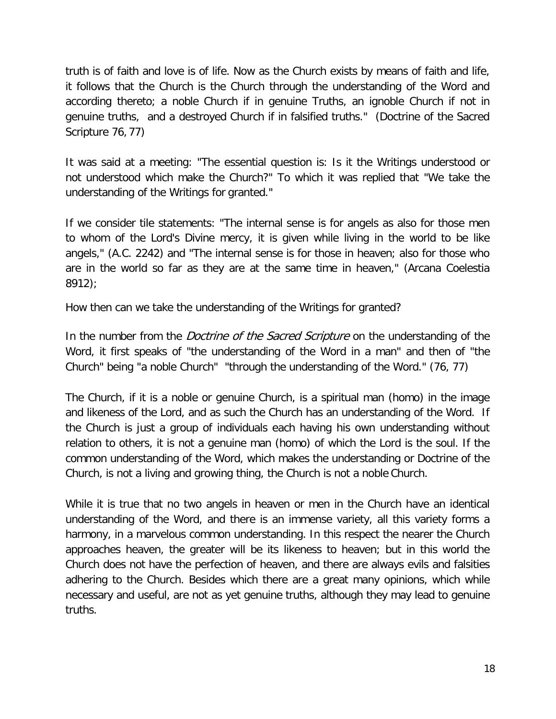truth is of faith and love is of life. Now as the Church exists by means of faith and life, it follows that the Church is the Church through the understanding of the Word and according thereto; a noble Church if in genuine Truths, an ignoble Church if not in genuine truths, and a destroyed Church if in falsified truths." (Doctrine of the Sacred Scripture 76, 77)

It was said at a meeting: "The essential question is: Is it the Writings understood or not understood which make the Church?" To which it was replied that "We take the understanding of the Writings for granted."

If we consider tile statements: "The internal sense is for angels as also for those men to whom of the Lord's Divine mercy, it is given while living in the world to be like angels," (A.C. 2242) and "The internal sense is for those in heaven; also for those who are in the world so far as they are at the same time in heaven," (Arcana Coelestia 8912);

How then can we take the understanding of the Writings for granted?

In the number from the *Doctrine of the Sacred Scripture* on the understanding of the Word, it first speaks of "the understanding of the Word in a man" and then of "the Church" being "a noble Church" "through the understanding of the Word." (76, 77)

The Church, if it is a noble or genuine Church, is a spiritual man (homo) in the image and likeness of the Lord, and as such the Church has an understanding of the Word. If the Church is just a group of individuals each having his own understanding without relation to others, it is not a genuine man (homo) of which the Lord is the soul. If the common understanding of the Word, which makes the understanding or Doctrine of the Church, is not a living and growing thing, the Church is not a noble Church.

While it is true that no two angels in heaven or men in the Church have an identical understanding of the Word, and there is an immense variety, all this variety forms a harmony, in a marvelous common understanding. In this respect the nearer the Church approaches heaven, the greater will be its likeness to heaven; but in this world the Church does not have the perfection of heaven, and there are always evils and falsities adhering to the Church. Besides which there are a great many opinions, which while necessary and useful, are not as yet genuine truths, although they may lead to genuine truths.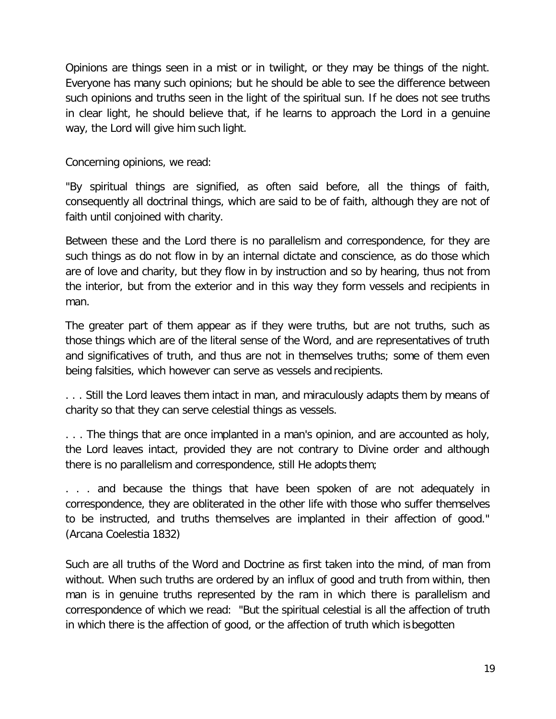Opinions are things seen in a mist or in twilight, or they may be things of the night. Everyone has many such opinions; but he should be able to see the difference between such opinions and truths seen in the light of the spiritual sun. If he does not see truths in clear light, he should believe that, if he learns to approach the Lord in a genuine way, the Lord will give him such light.

Concerning opinions, we read:

"By spiritual things are signified, as often said before, all the things of faith, consequently all doctrinal things, which are said to be of faith, although they are not of faith until conjoined with charity.

Between these and the Lord there is no parallelism and correspondence, for they are such things as do not flow in by an internal dictate and conscience, as do those which are of love and charity, but they flow in by instruction and so by hearing, thus not from the interior, but from the exterior and in this way they form vessels and recipients in man.

The greater part of them appear as if they were truths, but are not truths, such as those things which are of the literal sense of the Word, and are representatives of truth and significatives of truth, and thus are not in themselves truths; some of them even being falsities, which however can serve as vessels and recipients.

. . . Still the Lord leaves them intact in man, and miraculously adapts them by means of charity so that they can serve celestial things as vessels.

. . . The things that are once implanted in a man's opinion, and are accounted as holy, the Lord leaves intact, provided they are not contrary to Divine order and although there is no parallelism and correspondence, still He adopts them;

. . . and because the things that have been spoken of are not adequately in correspondence, they are obliterated in the other life with those who suffer themselves to be instructed, and truths themselves are implanted in their affection of good." (Arcana Coelestia 1832)

Such are all truths of the Word and Doctrine as first taken into the mind, of man from without. When such truths are ordered by an influx of good and truth from within, then man is in genuine truths represented by the ram in which there is parallelism and correspondence of which we read: "But the spiritual celestial is all the affection of truth in which there is the affection of good, or the affection of truth which is begotten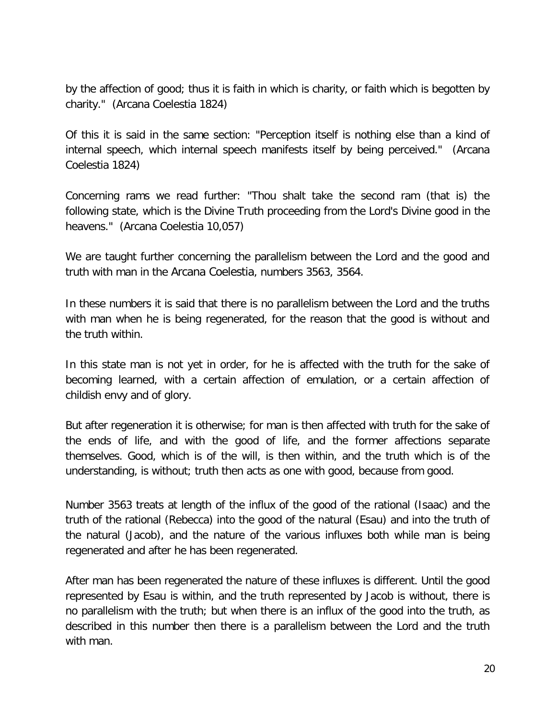by the affection of good; thus it is faith in which is charity, or faith which is begotten by charity." (Arcana Coelestia 1824)

Of this it is said in the same section: "Perception itself is nothing else than a kind of internal speech, which internal speech manifests itself by being perceived." (Arcana Coelestia 1824)

Concerning rams we read further: "Thou shalt take the second ram (that is) the following state, which is the Divine Truth proceeding from the Lord's Divine good in the heavens." (Arcana Coelestia 10,057)

We are taught further concerning the parallelism between the Lord and the good and truth with man in the Arcana Coelestia, numbers 3563, 3564.

In these numbers it is said that there is no parallelism between the Lord and the truths with man when he is being regenerated, for the reason that the good is without and the truth within.

In this state man is not yet in order, for he is affected with the truth for the sake of becoming learned, with a certain affection of emulation, or a certain affection of childish envy and of glory.

But after regeneration it is otherwise; for man is then affected with truth for the sake of the ends of life, and with the good of life, and the former affections separate themselves. Good, which is of the will, is then within, and the truth which is of the understanding, is without; truth then acts as one with good, because from good.

Number 3563 treats at length of the influx of the good of the rational (Isaac) and the truth of the rational (Rebecca) into the good of the natural (Esau) and into the truth of the natural (Jacob), and the nature of the various influxes both while man is being regenerated and after he has been regenerated.

After man has been regenerated the nature of these influxes is different. Until the good represented by Esau is within, and the truth represented by Jacob is without, there is no parallelism with the truth; but when there is an influx of the good into the truth, as described in this number then there is a parallelism between the Lord and the truth with man.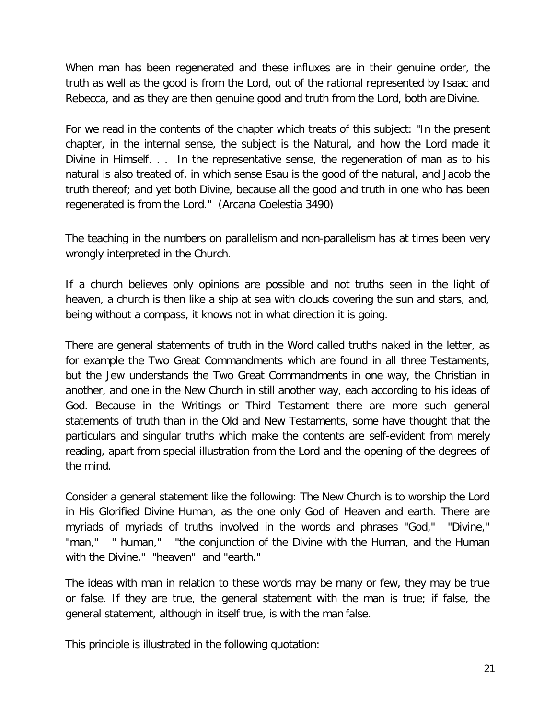When man has been regenerated and these influxes are in their genuine order, the truth as well as the good is from the Lord, out of the rational represented by Isaac and Rebecca, and as they are then genuine good and truth from the Lord, both are Divine.

For we read in the contents of the chapter which treats of this subject: "In the present chapter, in the internal sense, the subject is the Natural, and how the Lord made it Divine in Himself. . . In the representative sense, the regeneration of man as to his natural is also treated of, in which sense Esau is the good of the natural, and Jacob the truth thereof; and yet both Divine, because all the good and truth in one who has been regenerated is from the Lord." (Arcana Coelestia 3490)

The teaching in the numbers on parallelism and non-parallelism has at times been very wrongly interpreted in the Church.

If a church believes only opinions are possible and not truths seen in the light of heaven, a church is then like a ship at sea with clouds covering the sun and stars, and, being without a compass, it knows not in what direction it is going.

There are general statements of truth in the Word called truths naked in the letter, as for example the Two Great Commandments which are found in all three Testaments, but the Jew understands the Two Great Commandments in one way, the Christian in another, and one in the New Church in still another way, each according to his ideas of God. Because in the Writings or Third Testament there are more such general statements of truth than in the Old and New Testaments, some have thought that the particulars and singular truths which make the contents are self-evident from merely reading, apart from special illustration from the Lord and the opening of the degrees of the mind.

Consider a general statement like the following: The New Church is to worship the Lord in His Glorified Divine Human, as the one only God of Heaven and earth. There are myriads of myriads of truths involved in the words and phrases "God," "Divine,'' "man," " human," "the conjunction of the Divine with the Human, and the Human with the Divine," "heaven" and "earth."

The ideas with man in relation to these words may be many or few, they may be true or false. If they are true, the general statement with the man is true; if false, the general statement, although in itself true, is with the man false.

This principle is illustrated in the following quotation: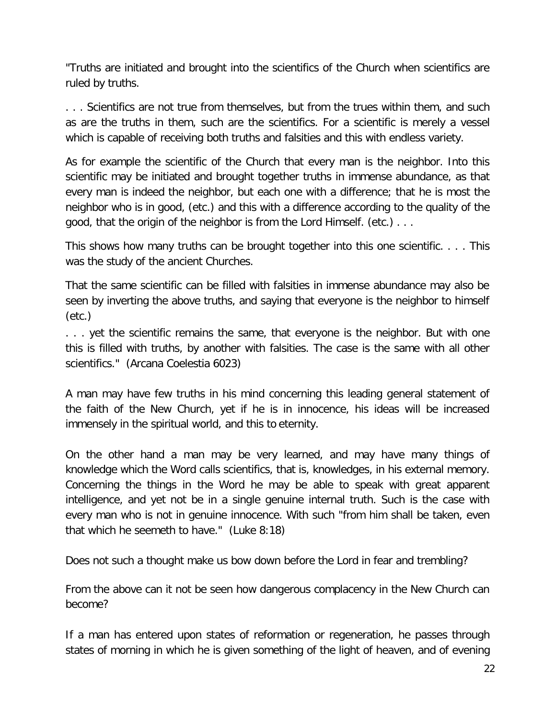"Truths are initiated and brought into the scientifics of the Church when scientifics are ruled by truths.

. . . Scientifics are not true from themselves, but from the trues within them, and such as are the truths in them, such are the scientifics. For a scientific is merely a vessel which is capable of receiving both truths and falsities and this with endless variety.

As for example the scientific of the Church that every man is the neighbor. Into this scientific may be initiated and brought together truths in immense abundance, as that every man is indeed the neighbor, but each one with a difference; that he is most the neighbor who is in good, (etc.) and this with a difference according to the quality of the good, that the origin of the neighbor is from the Lord Himself. (etc.) . . .

This shows how many truths can be brought together into this one scientific. . . . This was the study of the ancient Churches.

That the same scientific can be filled with falsities in immense abundance may also be seen by inverting the above truths, and saying that everyone is the neighbor to himself (etc.)

. . . yet the scientific remains the same, that everyone is the neighbor. But with one this is filled with truths, by another with falsities. The case is the same with all other scientifics." (Arcana Coelestia 6023)

A man may have few truths in his mind concerning this leading general statement of the faith of the New Church, yet if he is in innocence, his ideas will be increased immensely in the spiritual world, and this to eternity.

On the other hand a man may be very learned, and may have many things of knowledge which the Word calls scientifics, that is, knowledges, in his external memory. Concerning the things in the Word he may be able to speak with great apparent intelligence, and yet not be in a single genuine internal truth. Such is the case with every man who is not in genuine innocence. With such "from him shall be taken, even that which he seemeth to have." (Luke 8:18)

Does not such a thought make us bow down before the Lord in fear and trembling?

From the above can it not be seen how dangerous complacency in the New Church can become?

If a man has entered upon states of reformation or regeneration, he passes through states of morning in which he is given something of the light of heaven, and of evening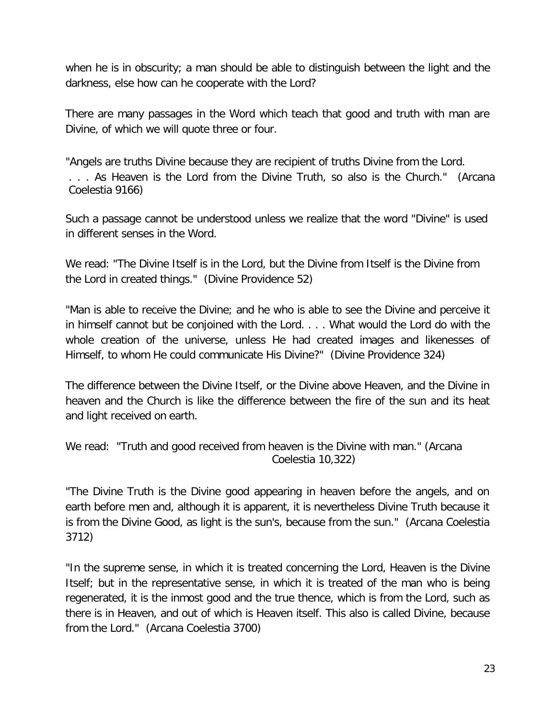when he is in obscurity; a man should be able to distinguish between the light and the darkness, else how can he cooperate with the Lord?

There are many passages in the Word which teach that good and truth with man are Divine, of which we will quote three or four.

"Angels are truths Divine because they are recipient of truths Divine from the Lord. . . . As Heaven is the Lord from the Divine Truth, so also is the Church." (Arcana Coelestia 9166)

Such a passage cannot be understood unless we realize that the word "Divine" is used in different senses in the Word.

We read: "The Divine Itself is in the Lord, but the Divine from Itself is the Divine from the Lord in created things." (Divine Providence 52)

"Man is able to receive the Divine; and he who is able to see the Divine and perceive it in himself cannot but be conjoined with the Lord. . . . What would the Lord do with the whole creation of the universe, unless He had created images and likenesses of Himself, to whom He could communicate His Divine?" (Divine Providence 324)

The difference between the Divine Itself, or the Divine above Heaven, and the Divine in heaven and the Church is like the difference between the fire of the sun and its heat and light received on earth.

We read: "Truth and good received from heaven is the Divine with man." (Arcana Coelestia 10,322)

"The Divine Truth is the Divine good appearing in heaven before the angels, and on earth before men and, although it is apparent, it is nevertheless Divine Truth because it is from the Divine Good, as light is the sun's, because from the sun." (Arcana Coelestia 3712)

"In the supreme sense, in which it is treated concerning the Lord, Heaven is the Divine Itself; but in the representative sense, in which it is treated of the man who is being regenerated, it is the inmost good and the true thence, which is from the Lord, such as there is in Heaven, and out of which is Heaven itself. This also is called Divine, because from the Lord." (Arcana Coelestia 3700)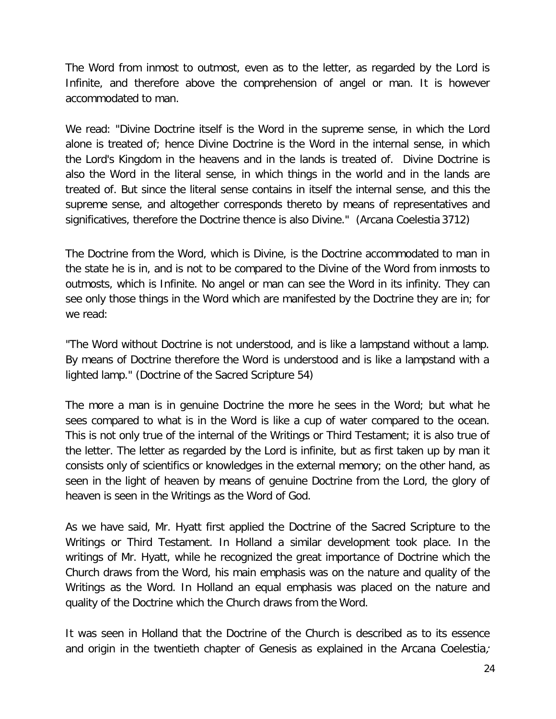The Word from inmost to outmost, even as to the letter, as regarded by the Lord is Infinite, and therefore above the comprehension of angel or man. It is however accommodated to man.

We read: "Divine Doctrine itself is the Word in the supreme sense, in which the Lord alone is treated of; hence Divine Doctrine is the Word in the internal sense, in which the Lord's Kingdom in the heavens and in the lands is treated of. Divine Doctrine is also the Word in the literal sense, in which things in the world and in the lands are treated of. But since the literal sense contains in itself the internal sense, and this the supreme sense, and altogether corresponds thereto by means of representatives and significatives, therefore the Doctrine thence is also Divine." (Arcana Coelestia 3712)

The Doctrine from the Word, which is Divine, is the Doctrine accommodated to man in the state he is in, and is not to be compared to the Divine of the Word from inmosts to outmosts, which is Infinite. No angel or man can see the Word in its infinity. They can see only those things in the Word which are manifested by the Doctrine they are in; for we read:

"The Word without Doctrine is not understood, and is like a lampstand without a lamp. By means of Doctrine therefore the Word is understood and is like a lampstand with a lighted lamp." (Doctrine of the Sacred Scripture 54)

The more a man is in genuine Doctrine the more he sees in the Word; but what he sees compared to what is in the Word is like a cup of water compared to the ocean. This is not only true of the internal of the Writings or Third Testament; it is also true of the letter. The letter as regarded by the Lord is infinite, but as first taken up by man it consists only of scientifics or knowledges in the external memory; on the other hand, as seen in the light of heaven by means of genuine Doctrine from the Lord, the glory of heaven is seen in the Writings as the Word of God.

As we have said, Mr. Hyatt first applied the Doctrine of the Sacred Scripture to the Writings or Third Testament. In Holland a similar development took place. In the writings of Mr. Hyatt, while he recognized the great importance of Doctrine which the Church draws from the Word, his main emphasis was on the nature and quality of the Writings as the Word. In Holland an equal emphasis was placed on the nature and quality of the Doctrine which the Church draws from the Word.

It was seen in Holland that the Doctrine of the Church is described as to its essence and origin in the twentieth chapter of Genesis as explained in the Arcana Coelestia,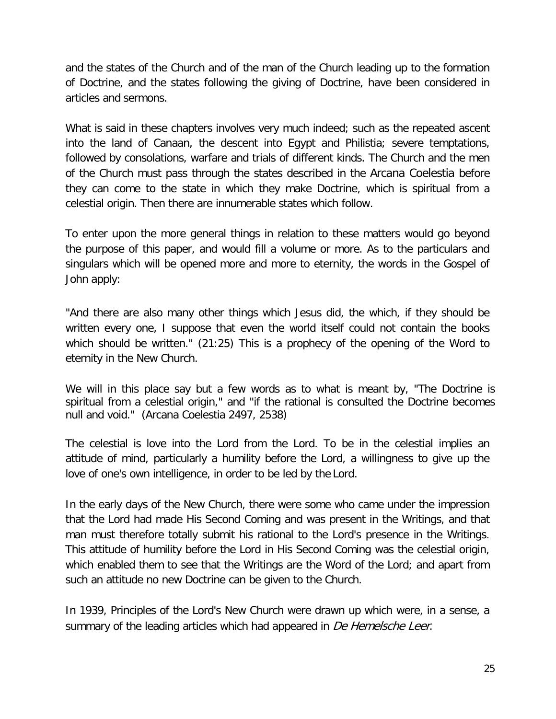and the states of the Church and of the man of the Church leading up to the formation of Doctrine, and the states following the giving of Doctrine, have been considered in articles and sermons.

What is said in these chapters involves very much indeed; such as the repeated ascent into the land of Canaan, the descent into Egypt and Philistia; severe temptations, followed by consolations, warfare and trials of different kinds. The Church and the men of the Church must pass through the states described in the Arcana Coelestia before they can come to the state in which they make Doctrine, which is spiritual from a celestial origin. Then there are innumerable states which follow.

To enter upon the more general things in relation to these matters would go beyond the purpose of this paper, and would fill a volume or more. As to the particulars and singulars which will be opened more and more to eternity, the words in the Gospel of John apply:

"And there are also many other things which Jesus did, the which, if they should be written every one, I suppose that even the world itself could not contain the books which should be written." (21:25) This is a prophecy of the opening of the Word to eternity in the New Church.

We will in this place say but a few words as to what is meant by, "The Doctrine is spiritual from a celestial origin," and "if the rational is consulted the Doctrine becomes null and void." (Arcana Coelestia 2497, 2538)

The celestial is love into the Lord from the Lord. To be in the celestial implies an attitude of mind, particularly a humility before the Lord, a willingness to give up the love of one's own intelligence, in order to be led by the Lord.

In the early days of the New Church, there were some who came under the impression that the Lord had made His Second Coming and was present in the Writings, and that man must therefore totally submit his rational to the Lord's presence in the Writings. This attitude of humility before the Lord in His Second Coming was the celestial origin, which enabled them to see that the Writings are the Word of the Lord; and apart from such an attitude no new Doctrine can be given to the Church.

In 1939, Principles of the Lord's New Church were drawn up which were, in a sense, a summary of the leading articles which had appeared in De Hemelsche Leer.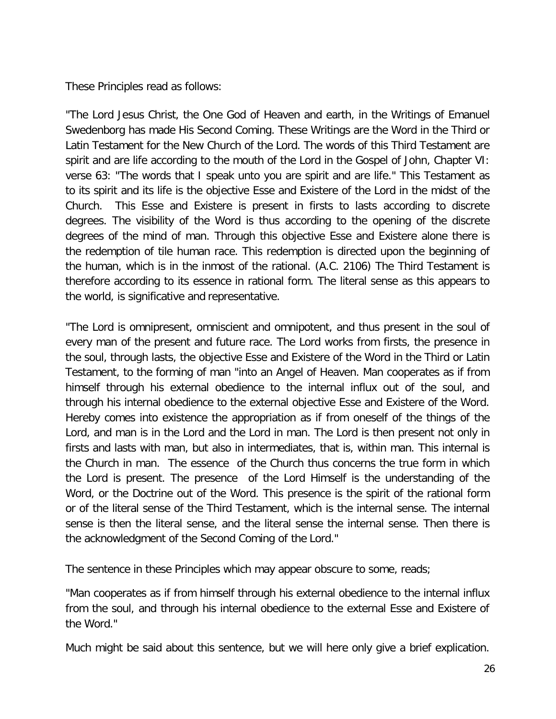These Principles read as follows:

"The Lord Jesus Christ, the One God of Heaven and earth, in the Writings of Emanuel Swedenborg has made His Second Coming. These Writings are the Word in the Third or Latin Testament for the New Church of the Lord. The words of this Third Testament are spirit and are life according to the mouth of the Lord in the Gospel of John, Chapter VI: verse 63: "The words that I speak unto you are spirit and are life." This Testament as to its spirit and its life is the objective Esse and Existere of the Lord in the midst of the Church. This Esse and Existere is present in firsts to lasts according to discrete degrees. The visibility of the Word is thus according to the opening of the discrete degrees of the mind of man. Through this objective Esse and Existere alone there is the redemption of tile human race. This redemption is directed upon the beginning of the human, which is in the inmost of the rational. (A.C. 2106) The Third Testament is therefore according to its essence in rational form. The literal sense as this appears to the world, is significative and representative.

"The Lord is omnipresent, omniscient and omnipotent, and thus present in the soul of every man of the present and future race. The Lord works from firsts, the presence in the soul, through lasts, the objective Esse and Existere of the Word in the Third or Latin Testament, to the forming of man "into an Angel of Heaven. Man cooperates as if from himself through his external obedience to the internal influx out of the soul, and through his internal obedience to the external objective Esse and Existere of the Word. Hereby comes into existence the appropriation as if from oneself of the things of the Lord, and man is in the Lord and the Lord in man. The Lord is then present not only in firsts and lasts with man, but also in intermediates, that is, within man. This internal is the Church in man. The essence of the Church thus concerns the true form in which the Lord is present. The presence of the Lord Himself is the understanding of the Word, or the Doctrine out of the Word. This presence is the spirit of the rational form or of the literal sense of the Third Testament, which is the internal sense. The internal sense is then the literal sense, and the literal sense the internal sense. Then there is the acknowledgment of the Second Coming of the Lord."

The sentence in these Principles which may appear obscure to some, reads;

"Man cooperates as if from himself through his external obedience to the internal influx from the soul, and through his internal obedience to the external Esse and Existere of the Word."

Much might be said about this sentence, but we will here only give a brief explication.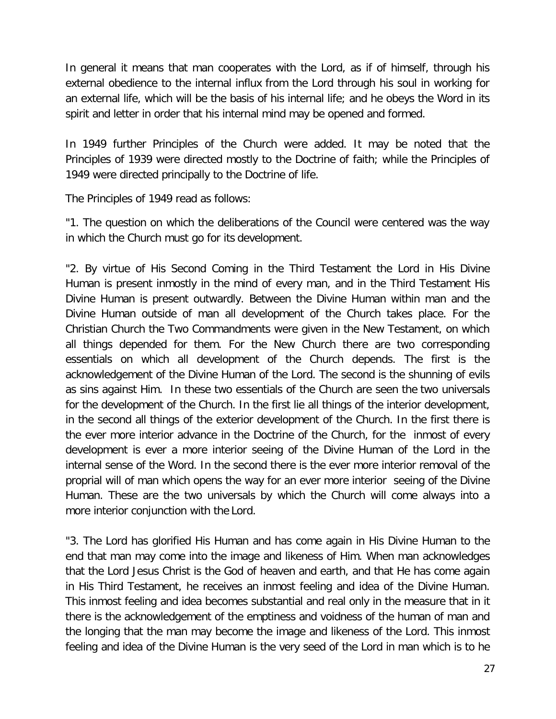In general it means that man cooperates with the Lord, as if of himself, through his external obedience to the internal influx from the Lord through his soul in working for an external life, which will be the basis of his internal life; and he obeys the Word in its spirit and letter in order that his internal mind may be opened and formed.

In 1949 further Principles of the Church were added. It may be noted that the Principles of 1939 were directed mostly to the Doctrine of faith; while the Principles of 1949 were directed principally to the Doctrine of life.

The Principles of 1949 read as follows:

"1. The question on which the deliberations of the Council were centered was the way in which the Church must go for its development.

"2. By virtue of His Second Coming in the Third Testament the Lord in His Divine Human is present inmostly in the mind of every man, and in the Third Testament His Divine Human is present outwardly. Between the Divine Human within man and the Divine Human outside of man all development of the Church takes place. For the Christian Church the Two Commandments were given in the New Testament, on which all things depended for them. For the New Church there are two corresponding essentials on which all development of the Church depends. The first is the acknowledgement of the Divine Human of the Lord. The second is the shunning of evils as sins against Him. In these two essentials of the Church are seen the two universals for the development of the Church. In the first lie all things of the interior development, in the second all things of the exterior development of the Church. In the first there is the ever more interior advance in the Doctrine of the Church, for the inmost of every development is ever a more interior seeing of the Divine Human of the Lord in the internal sense of the Word. In the second there is the ever more interior removal of the proprial will of man which opens the way for an ever more interior seeing of the Divine Human. These are the two universals by which the Church will come always into a more interior conjunction with the Lord.

"3. The Lord has glorified His Human and has come again in His Divine Human to the end that man may come into the image and likeness of Him. When man acknowledges that the Lord Jesus Christ is the God of heaven and earth, and that He has come again in His Third Testament, he receives an inmost feeling and idea of the Divine Human. This inmost feeling and idea becomes substantial and real only in the measure that in it there is the acknowledgement of the emptiness and voidness of the human of man and the longing that the man may become the image and likeness of the Lord. This inmost feeling and idea of the Divine Human is the very seed of the Lord in man which is to he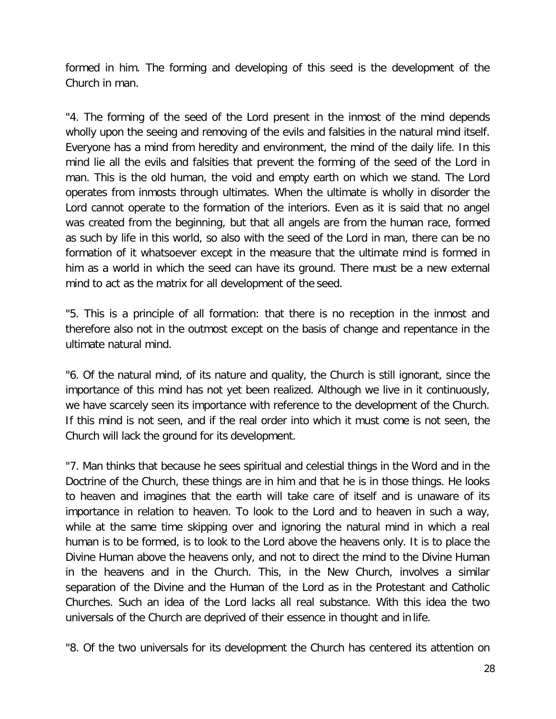formed in him. The forming and developing of this seed is the development of the Church in man.

"4. The forming of the seed of the Lord present in the inmost of the mind depends wholly upon the seeing and removing of the evils and falsities in the natural mind itself. Everyone has a mind from heredity and environment, the mind of the daily life. In this mind lie all the evils and falsities that prevent the forming of the seed of the Lord in man. This is the old human, the void and empty earth on which we stand. The Lord operates from inmosts through ultimates. When the ultimate is wholly in disorder the Lord cannot operate to the formation of the interiors. Even as it is said that no angel was created from the beginning, but that all angels are from the human race, formed as such by life in this world, so also with the seed of the Lord in man, there can be no formation of it whatsoever except in the measure that the ultimate mind is formed in him as a world in which the seed can have its ground. There must be a new external mind to act as the matrix for all development of the seed.

"5. This is a principle of all formation: that there is no reception in the inmost and therefore also not in the outmost except on the basis of change and repentance in the ultimate natural mind.

"6. Of the natural mind, of its nature and quality, the Church is still ignorant, since the importance of this mind has not yet been realized. Although we live in it continuously, we have scarcely seen its importance with reference to the development of the Church. If this mind is not seen, and if the real order into which it must come is not seen, the Church will lack the ground for its development.

"7. Man thinks that because he sees spiritual and celestial things in the Word and in the Doctrine of the Church, these things are in him and that he is in those things. He looks to heaven and imagines that the earth will take care of itself and is unaware of its importance in relation to heaven. To look to the Lord and to heaven in such a way, while at the same time skipping over and ignoring the natural mind in which a real human is to be formed, is to look to the Lord above the heavens only. It is to place the Divine Human above the heavens only, and not to direct the mind to the Divine Human in the heavens and in the Church. This, in the New Church, involves a similar separation of the Divine and the Human of the Lord as in the Protestant and Catholic Churches. Such an idea of the Lord lacks all real substance. With this idea the two universals of the Church are deprived of their essence in thought and in life.

"8. Of the two universals for its development the Church has centered its attention on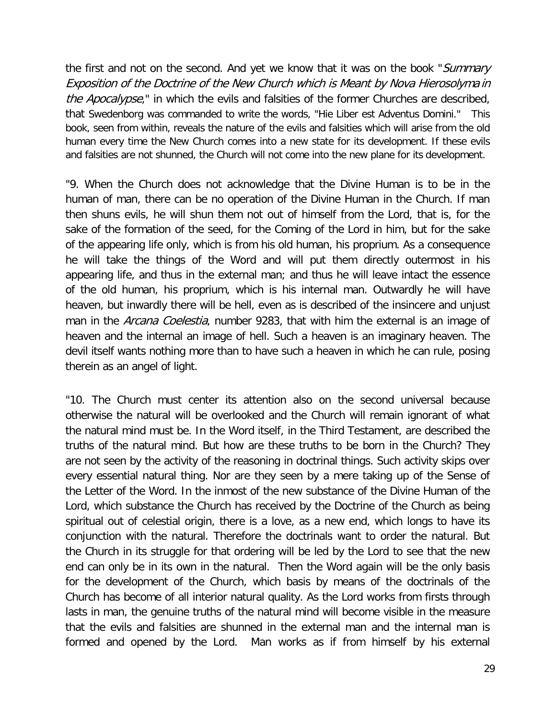the first and not on the second. And yet we know that it was on the book "Summary Exposition of the Doctrine of the New Church which is Meant by Nova Hierosolyma in the Apocalypse," in which the evils and falsities of the former Churches are described, that Swedenborg was commanded to write the words, "Hie Liber est Adventus Domini." This book, seen from within, reveals the nature of the evils and falsities which will arise from the old human every time the New Church comes into a new state for its development. If these evils and falsities are not shunned, the Church will not come into the new plane for its development.

"9. When the Church does not acknowledge that the Divine Human is to be in the human of man, there can be no operation of the Divine Human in the Church. If man then shuns evils, he will shun them not out of himself from the Lord, that is, for the sake of the formation of the seed, for the Coming of the Lord in him, but for the sake of the appearing life only, which is from his old human, his proprium. As a consequence he will take the things of the Word and will put them directly outermost in his appearing life, and thus in the external man; and thus he will leave intact the essence of the old human, his proprium, which is his internal man. Outwardly he will have heaven, but inwardly there will be hell, even as is described of the insincere and unjust man in the *Arcana Coelestia*, number 9283, that with him the external is an image of heaven and the internal an image of hell. Such a heaven is an imaginary heaven. The devil itself wants nothing more than to have such a heaven in which he can rule, posing therein as an angel of light.

"10. The Church must center its attention also on the second universal because otherwise the natural will be overlooked and the Church will remain ignorant of what the natural mind must be. In the Word itself, in the Third Testament, are described the truths of the natural mind. But how are these truths to be born in the Church? They are not seen by the activity of the reasoning in doctrinal things. Such activity skips over every essential natural thing. Nor are they seen by a mere taking up of the Sense of the Letter of the Word. In the inmost of the new substance of the Divine Human of the Lord, which substance the Church has received by the Doctrine of the Church as being spiritual out of celestial origin, there is a love, as a new end, which longs to have its conjunction with the natural. Therefore the doctrinals want to order the natural. But the Church in its struggle for that ordering will be led by the Lord to see that the new end can only be in its own in the natural. Then the Word again will be the only basis for the development of the Church, which basis by means of the doctrinals of the Church has become of all interior natural quality. As the Lord works from firsts through lasts in man, the genuine truths of the natural mind will become visible in the measure that the evils and falsities are shunned in the external man and the internal man is formed and opened by the Lord. Man works as if from himself by his external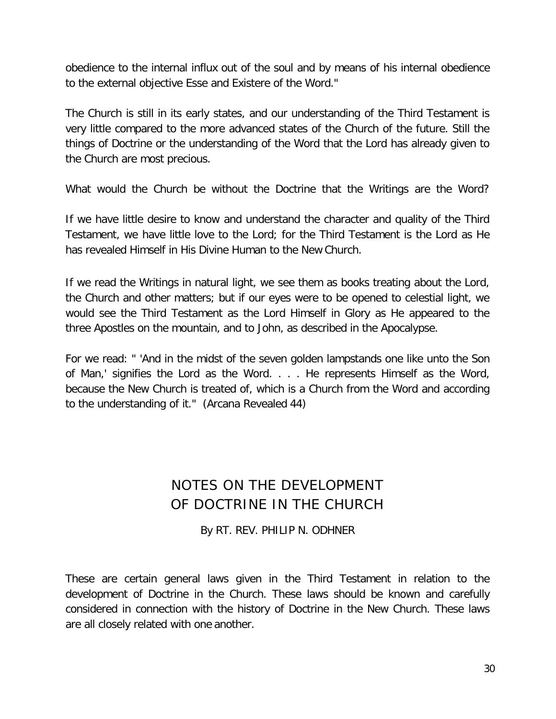obedience to the internal influx out of the soul and by means of his internal obedience to the external objective Esse and Existere of the Word."

The Church is still in its early states, and our understanding of the Third Testament is very little compared to the more advanced states of the Church of the future. Still the things of Doctrine or the understanding of the Word that the Lord has already given to the Church are most precious.

What would the Church be without the Doctrine that the Writings are the Word?

If we have little desire to know and understand the character and quality of the Third Testament, we have little love to the Lord; for the Third Testament is the Lord as He has revealed Himself in His Divine Human to the New Church.

If we read the Writings in natural light, we see them as books treating about the Lord, the Church and other matters; but if our eyes were to be opened to celestial light, we would see the Third Testament as the Lord Himself in Glory as He appeared to the three Apostles on the mountain, and to John, as described in the Apocalypse.

For we read: " 'And in the midst of the seven golden lampstands one like unto the Son of Man,' signifies the Lord as the Word. . . . He represents Himself as the Word, because the New Church is treated of, which is a Church from the Word and according to the understanding of it." (Arcana Revealed 44)

### NOTES ON THE DEVELOPMENT OF DOCTRINE IN THE CHURCH

By RT. REV. PHILIP N. ODHNER

These are certain general laws given in the Third Testament in relation to the development of Doctrine in the Church. These laws should be known and carefully considered in connection with the history of Doctrine in the New Church. These laws are all closely related with one another.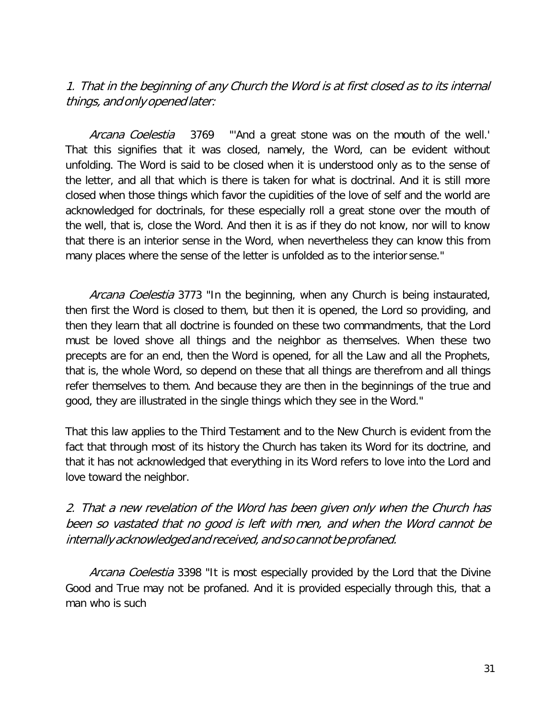### 1. That in the beginning of any Church the Word is at first closed as to its internal things, and only opened later:

Arcana Coelestia 3769 "And a great stone was on the mouth of the well." That this signifies that it was closed, namely, the Word, can be evident without unfolding. The Word is said to be closed when it is understood only as to the sense of the letter, and all that which is there is taken for what is doctrinal. And it is still more closed when those things which favor the cupidities of the love of self and the world are acknowledged for doctrinals, for these especially roll a great stone over the mouth of the well, that is, close the Word. And then it is as if they do not know, nor will to know that there is an interior sense in the Word, when nevertheless they can know this from many places where the sense of the letter is unfolded as to the interior sense."

Arcana Coelestia 3773 "In the beginning, when any Church is being instaurated, then first the Word is closed to them, but then it is opened, the Lord so providing, and then they learn that all doctrine is founded on these two commandments, that the Lord must be loved shove all things and the neighbor as themselves. When these two precepts are for an end, then the Word is opened, for all the Law and all the Prophets, that is, the whole Word, so depend on these that all things are therefrom and all things refer themselves to them. And because they are then in the beginnings of the true and good, they are illustrated in the single things which they see in the Word."

That this law applies to the Third Testament and to the New Church is evident from the fact that through most of its history the Church has taken its Word for its doctrine, and that it has not acknowledged that everything in its Word refers to love into the Lord and love toward the neighbor.

#### 2. That a new revelation of the Word has been given only when the Church has been so vastated that no good is left with men, and when the Word cannot be internally acknowledged and received, and so cannot be profaned.

Arcana Coelestia 3398 "It is most especially provided by the Lord that the Divine Good and True may not be profaned. And it is provided especially through this, that a man who is such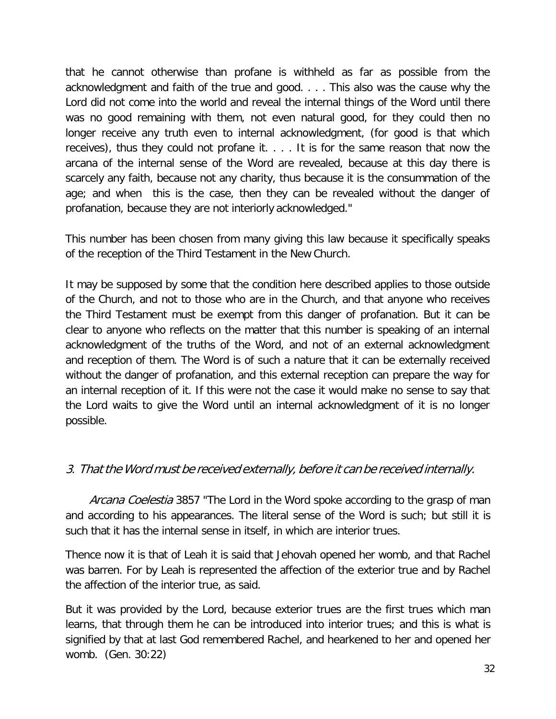that he cannot otherwise than profane is withheld as far as possible from the acknowledgment and faith of the true and good. . . . This also was the cause why the Lord did not come into the world and reveal the internal things of the Word until there was no good remaining with them, not even natural good, for they could then no longer receive any truth even to internal acknowledgment, (for good is that which receives), thus they could not profane it. . . . It is for the same reason that now the arcana of the internal sense of the Word are revealed, because at this day there is scarcely any faith, because not any charity, thus because it is the consummation of the age; and when this is the case, then they can be revealed without the danger of profanation, because they are not interiorly acknowledged."

This number has been chosen from many giving this law because it specifically speaks of the reception of the Third Testament in the New Church.

It may be supposed by some that the condition here described applies to those outside of the Church, and not to those who are in the Church, and that anyone who receives the Third Testament must be exempt from this danger of profanation. But it can be clear to anyone who reflects on the matter that this number is speaking of an internal acknowledgment of the truths of the Word, and not of an external acknowledgment and reception of them. The Word is of such a nature that it can be externally received without the danger of profanation, and this external reception can prepare the way for an internal reception of it. If this were not the case it would make no sense to say that the Lord waits to give the Word until an internal acknowledgment of it is no longer possible.

#### 3. That the Word must be received externally, before it can be received internally.

Arcana Coelestia 3857 "The Lord in the Word spoke according to the grasp of man and according to his appearances. The literal sense of the Word is such; but still it is such that it has the internal sense in itself, in which are interior trues.

Thence now it is that of Leah it is said that Jehovah opened her womb, and that Rachel was barren. For by Leah is represented the affection of the exterior true and by Rachel the affection of the interior true, as said.

But it was provided by the Lord, because exterior trues are the first trues which man learns, that through them he can be introduced into interior trues; and this is what is signified by that at last God remembered Rachel, and hearkened to her and opened her womb. (Gen. 30:22)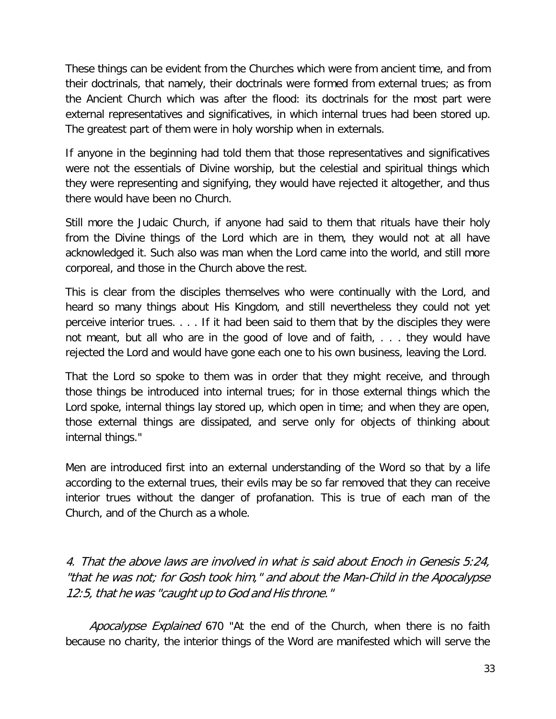These things can be evident from the Churches which were from ancient time, and from their doctrinals, that namely, their doctrinals were formed from external trues; as from the Ancient Church which was after the flood: its doctrinals for the most part were external representatives and significatives, in which internal trues had been stored up. The greatest part of them were in holy worship when in externals.

If anyone in the beginning had told them that those representatives and significatives were not the essentials of Divine worship, but the celestial and spiritual things which they were representing and signifying, they would have rejected it altogether, and thus there would have been no Church.

Still more the Judaic Church, if anyone had said to them that rituals have their holy from the Divine things of the Lord which are in them, they would not at all have acknowledged it. Such also was man when the Lord came into the world, and still more corporeal, and those in the Church above the rest.

This is clear from the disciples themselves who were continually with the Lord, and heard so many things about His Kingdom, and still nevertheless they could not yet perceive interior trues. . . . If it had been said to them that by the disciples they were not meant, but all who are in the good of love and of faith, . . . they would have rejected the Lord and would have gone each one to his own business, leaving the Lord.

That the Lord so spoke to them was in order that they might receive, and through those things be introduced into internal trues; for in those external things which the Lord spoke, internal things lay stored up, which open in time; and when they are open, those external things are dissipated, and serve only for objects of thinking about internal things."

Men are introduced first into an external understanding of the Word so that by a life according to the external trues, their evils may be so far removed that they can receive interior trues without the danger of profanation. This is true of each man of the Church, and of the Church as a whole.

4. That the above laws are involved in what is said about Enoch in Genesis 5:24, "that he was not; for Gosh took him," and about the Man-Child in the Apocalypse 12:5, that he was "caught up to God and His throne."

Apocalypse Explained 670 "At the end of the Church, when there is no faith because no charity, the interior things of the Word are manifested which will serve the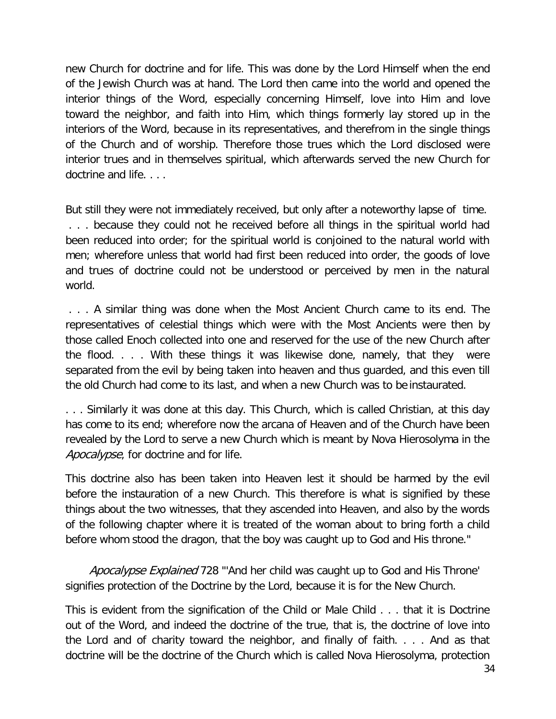new Church for doctrine and for life. This was done by the Lord Himself when the end of the Jewish Church was at hand. The Lord then came into the world and opened the interior things of the Word, especially concerning Himself, love into Him and love toward the neighbor, and faith into Him, which things formerly lay stored up in the interiors of the Word, because in its representatives, and therefrom in the single things of the Church and of worship. Therefore those trues which the Lord disclosed were interior trues and in themselves spiritual, which afterwards served the new Church for doctrine and life. . . .

But still they were not immediately received, but only after a noteworthy lapse of time. . . . because they could not he received before all things in the spiritual world had been reduced into order; for the spiritual world is conjoined to the natural world with men; wherefore unless that world had first been reduced into order, the goods of love and trues of doctrine could not be understood or perceived by men in the natural world.

. . . A similar thing was done when the Most Ancient Church came to its end. The representatives of celestial things which were with the Most Ancients were then by those called Enoch collected into one and reserved for the use of the new Church after the flood. . . . With these things it was likewise done, namely, that they were separated from the evil by being taken into heaven and thus guarded, and this even till the old Church had come to its last, and when a new Church was to be instaurated.

. . . Similarly it was done at this day. This Church, which is called Christian, at this day has come to its end; wherefore now the arcana of Heaven and of the Church have been revealed by the Lord to serve a new Church which is meant by Nova Hierosolyma in the Apocalypse, for doctrine and for life.

This doctrine also has been taken into Heaven lest it should be harmed by the evil before the instauration of a new Church. This therefore is what is signified by these things about the two witnesses, that they ascended into Heaven, and also by the words of the following chapter where it is treated of the woman about to bring forth a child before whom stood the dragon, that the boy was caught up to God and His throne."

Apocalypse Explained 728 "'And her child was caught up to God and His Throne' signifies protection of the Doctrine by the Lord, because it is for the New Church.

This is evident from the signification of the Child or Male Child . . . that it is Doctrine out of the Word, and indeed the doctrine of the true, that is, the doctrine of love into the Lord and of charity toward the neighbor, and finally of faith. . . . And as that doctrine will be the doctrine of the Church which is called Nova Hierosolyma, protection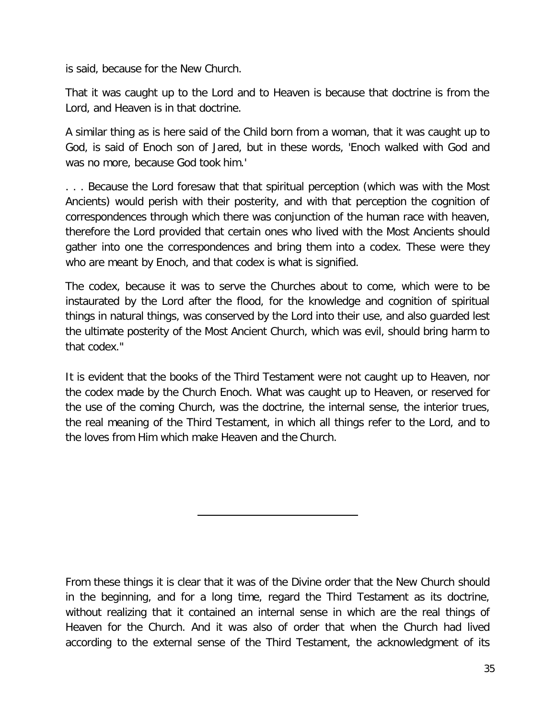is said, because for the New Church.

That it was caught up to the Lord and to Heaven is because that doctrine is from the Lord, and Heaven is in that doctrine.

A similar thing as is here said of the Child born from a woman, that it was caught up to God, is said of Enoch son of Jared, but in these words, 'Enoch walked with God and was no more, because God took him.'

. . . Because the Lord foresaw that that spiritual perception (which was with the Most Ancients) would perish with their posterity, and with that perception the cognition of correspondences through which there was conjunction of the human race with heaven, therefore the Lord provided that certain ones who lived with the Most Ancients should gather into one the correspondences and bring them into a codex. These were they who are meant by Enoch, and that codex is what is signified.

The codex, because it was to serve the Churches about to come, which were to be instaurated by the Lord after the flood, for the knowledge and cognition of spiritual things in natural things, was conserved by the Lord into their use, and also guarded lest the ultimate posterity of the Most Ancient Church, which was evil, should bring harm to that codex."

It is evident that the books of the Third Testament were not caught up to Heaven, nor the codex made by the Church Enoch. What was caught up to Heaven, or reserved for the use of the coming Church, was the doctrine, the internal sense, the interior trues, the real meaning of the Third Testament, in which all things refer to the Lord, and to the loves from Him which make Heaven and the Church.

From these things it is clear that it was of the Divine order that the New Church should in the beginning, and for a long time, regard the Third Testament as its doctrine, without realizing that it contained an internal sense in which are the real things of Heaven for the Church. And it was also of order that when the Church had lived according to the external sense of the Third Testament, the acknowledgment of its